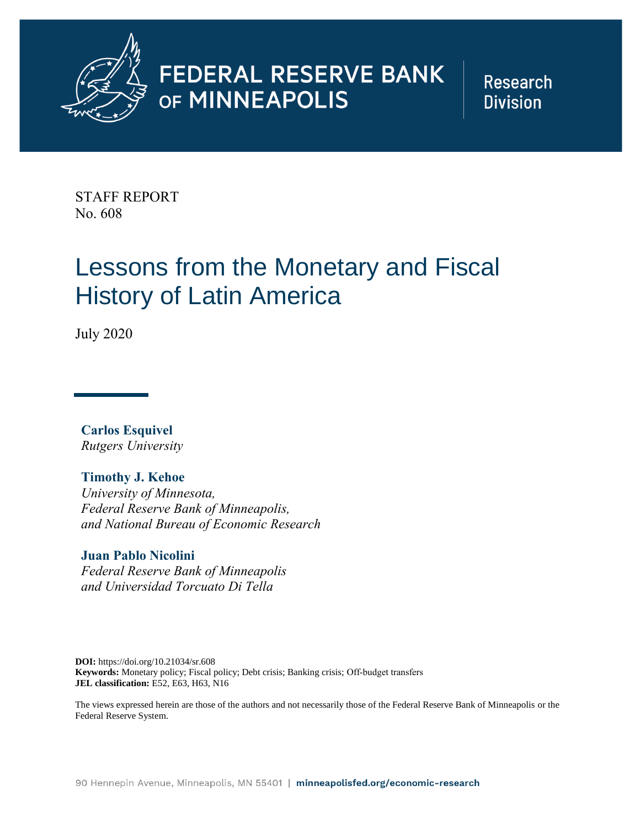

# FEDERAL RESERVE BANK OF MINNEAPOLIS

**Research Division** 

STAFF REPORT No. 608

# Lessons from the Monetary and Fiscal History of Latin America

July 2020

**Carlos Esquivel**  *Rutgers University* 

**Timothy J. Kehoe**  *University of Minnesota, Federal Reserve Bank of Minneapolis, and National Bureau of Economic Research* 

**Juan Pablo Nicolini**  *Federal Reserve Bank of Minneapolis and Universidad Torcuato Di Tella* 

**DOI:** https://doi.org/10.21034/sr.608 Keywords: Monetary policy; Fiscal policy; Debt crisis; Banking crisis; Off-budget transfers **JEL classification:** E52, E63, H63, N16

The views expressed herein are those of the authors and not necessarily those of the Federal Reserve Bank of Minneapolis or the Federal Reserve System.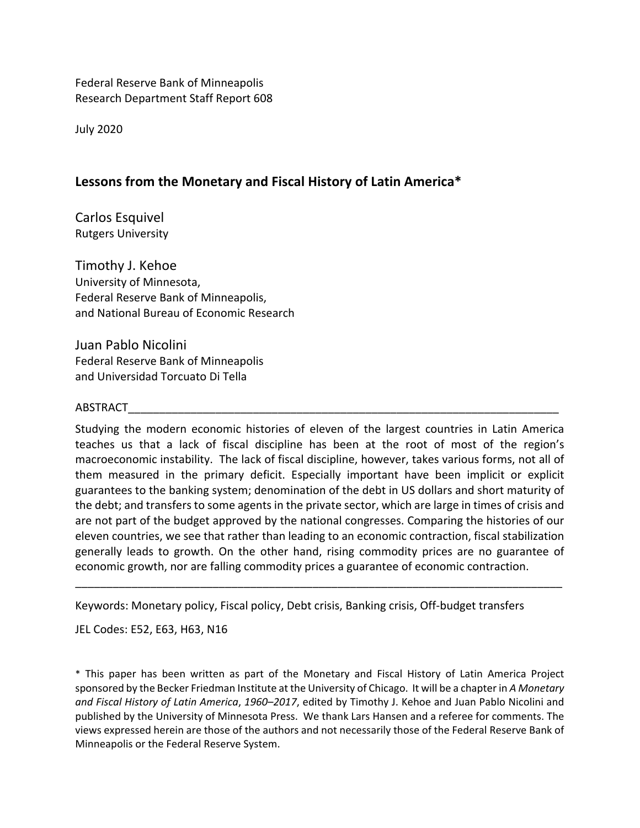Federal Reserve Bank of Minneapolis Research Department Staff Report 608

July 2020

## **Lessons from the Monetary and Fiscal History of Latin America\***

Carlos Esquivel Rutgers University

Timothy J. Kehoe University of Minnesota, Federal Reserve Bank of Minneapolis, and National Bureau of Economic Research

Juan Pablo Nicolini Federal Reserve Bank of Minneapolis and Universidad Torcuato Di Tella

### ABSTRACT\_\_\_\_\_\_\_\_\_\_\_\_\_\_\_\_\_\_\_\_\_\_\_\_\_\_\_\_\_\_\_\_\_\_\_\_\_\_\_\_\_\_\_\_\_\_\_\_\_\_\_\_\_\_\_\_\_\_\_\_\_\_\_\_\_\_\_\_\_

Studying the modern economic histories of eleven of the largest countries in Latin America teaches us that a lack of fiscal discipline has been at the root of most of the region's macroeconomic instability. The lack of fiscal discipline, however, takes various forms, not all of them measured in the primary deficit. Especially important have been implicit or explicit guarantees to the banking system; denomination of the debt in US dollars and short maturity of the debt; and transfers to some agents in the private sector, which are large in times of crisis and are not part of the budget approved by the national congresses. Comparing the histories of our eleven countries, we see that rather than leading to an economic contraction, fiscal stabilization generally leads to growth. On the other hand, rising commodity prices are no guarantee of economic growth, nor are falling commodity prices a guarantee of economic contraction.

\_\_\_\_\_\_\_\_\_\_\_\_\_\_\_\_\_\_\_\_\_\_\_\_\_\_\_\_\_\_\_\_\_\_\_\_\_\_\_\_\_\_\_\_\_\_\_\_\_\_\_\_\_\_\_\_\_\_\_\_\_\_\_\_\_\_\_\_\_\_\_\_\_\_\_\_\_\_

Keywords: Monetary policy, Fiscal policy, Debt crisis, Banking crisis, Off‐budget transfers

JEL Codes: E52, E63, H63, N16

\* This paper has been written as part of the Monetary and Fiscal History of Latin America Project sponsored by the Becker Friedman Institute at the University of Chicago. It will be a chapter in *A Monetary and Fiscal History of Latin America*, *1960–2017*, edited by Timothy J. Kehoe and Juan Pablo Nicolini and published by the University of Minnesota Press. We thank Lars Hansen and a referee for comments. The views expressed herein are those of the authors and not necessarily those of the Federal Reserve Bank of Minneapolis or the Federal Reserve System.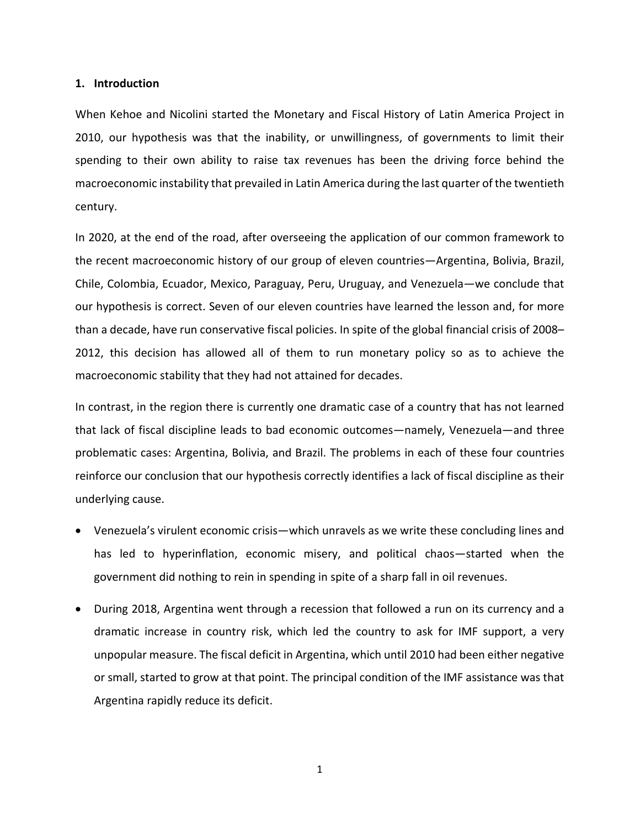#### **1. Introduction**

When Kehoe and Nicolini started the Monetary and Fiscal History of Latin America Project in 2010, our hypothesis was that the inability, or unwillingness, of governments to limit their spending to their own ability to raise tax revenues has been the driving force behind the macroeconomic instability that prevailed in Latin America during the last quarter of the twentieth century.

In 2020, at the end of the road, after overseeing the application of our common framework to the recent macroeconomic history of our group of eleven countries—Argentina, Bolivia, Brazil, Chile, Colombia, Ecuador, Mexico, Paraguay, Peru, Uruguay, and Venezuela—we conclude that our hypothesis is correct. Seven of our eleven countries have learned the lesson and, for more than a decade, have run conservative fiscal policies. In spite of the global financial crisis of 2008– 2012, this decision has allowed all of them to run monetary policy so as to achieve the macroeconomic stability that they had not attained for decades.

In contrast, in the region there is currently one dramatic case of a country that has not learned that lack of fiscal discipline leads to bad economic outcomes—namely, Venezuela—and three problematic cases: Argentina, Bolivia, and Brazil. The problems in each of these four countries reinforce our conclusion that our hypothesis correctly identifies a lack of fiscal discipline as their underlying cause.

- Venezuela's virulent economic crisis—which unravels as we write these concluding lines and has led to hyperinflation, economic misery, and political chaos—started when the government did nothing to rein in spending in spite of a sharp fall in oil revenues.
- During 2018, Argentina went through a recession that followed a run on its currency and a dramatic increase in country risk, which led the country to ask for IMF support, a very unpopular measure. The fiscal deficit in Argentina, which until 2010 had been either negative or small, started to grow at that point. The principal condition of the IMF assistance was that Argentina rapidly reduce its deficit.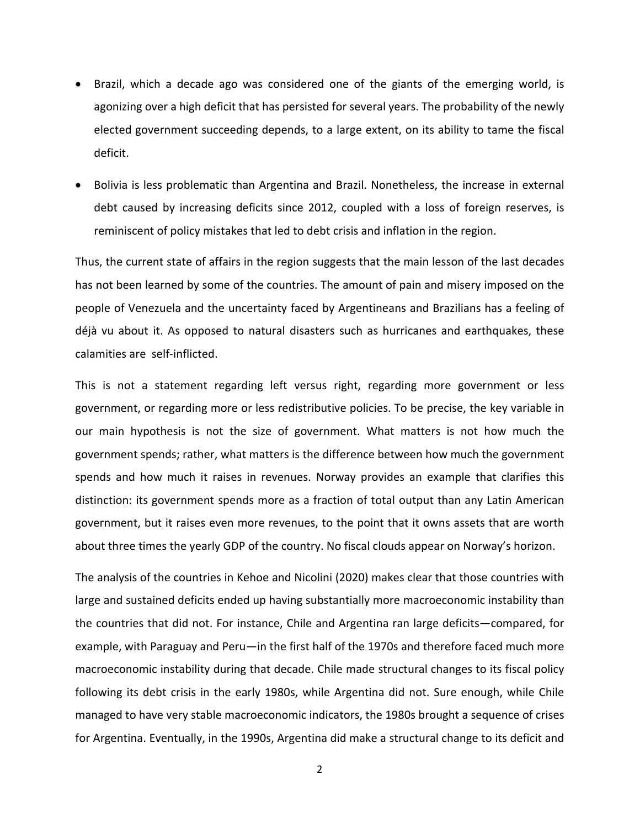- Brazil, which a decade ago was considered one of the giants of the emerging world, is agonizing over a high deficit that has persisted for several years. The probability of the newly elected government succeeding depends, to a large extent, on its ability to tame the fiscal deficit.
- Bolivia is less problematic than Argentina and Brazil. Nonetheless, the increase in external debt caused by increasing deficits since 2012, coupled with a loss of foreign reserves, is reminiscent of policy mistakes that led to debt crisis and inflation in the region.

Thus, the current state of affairs in the region suggests that the main lesson of the last decades has not been learned by some of the countries. The amount of pain and misery imposed on the people of Venezuela and the uncertainty faced by Argentineans and Brazilians has a feeling of déjà vu about it. As opposed to natural disasters such as hurricanes and earthquakes, these calamities are self‐inflicted.

This is not a statement regarding left versus right, regarding more government or less government, or regarding more or less redistributive policies. To be precise, the key variable in our main hypothesis is not the size of government. What matters is not how much the government spends; rather, what matters is the difference between how much the government spends and how much it raises in revenues. Norway provides an example that clarifies this distinction: its government spends more as a fraction of total output than any Latin American government, but it raises even more revenues, to the point that it owns assets that are worth about three times the yearly GDP of the country. No fiscal clouds appear on Norway's horizon.

The analysis of the countries in Kehoe and Nicolini (2020) makes clear that those countries with large and sustained deficits ended up having substantially more macroeconomic instability than the countries that did not. For instance, Chile and Argentina ran large deficits—compared, for example, with Paraguay and Peru—in the first half of the 1970s and therefore faced much more macroeconomic instability during that decade. Chile made structural changes to its fiscal policy following its debt crisis in the early 1980s, while Argentina did not. Sure enough, while Chile managed to have very stable macroeconomic indicators, the 1980s brought a sequence of crises for Argentina. Eventually, in the 1990s, Argentina did make a structural change to its deficit and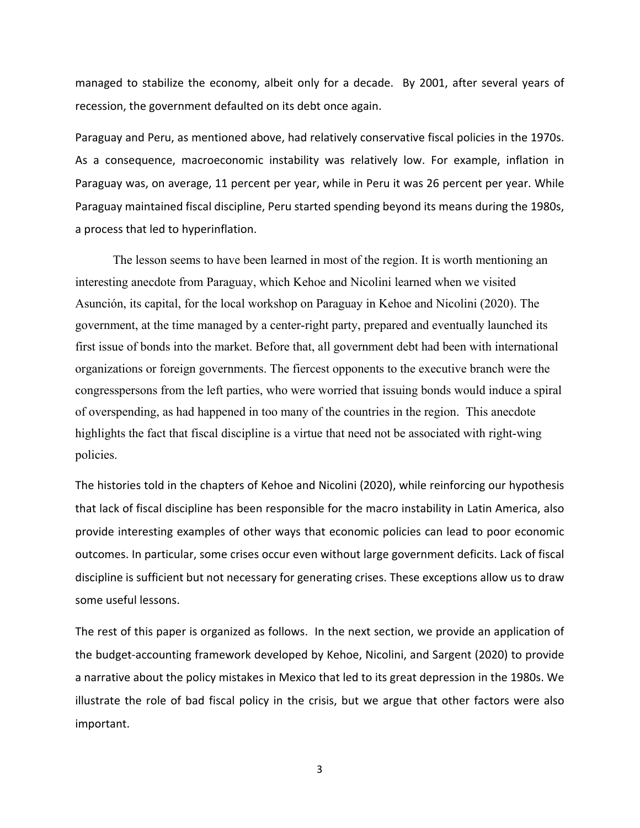managed to stabilize the economy, albeit only for a decade. By 2001, after several years of recession, the government defaulted on its debt once again.

Paraguay and Peru, as mentioned above, had relatively conservative fiscal policies in the 1970s. As a consequence, macroeconomic instability was relatively low. For example, inflation in Paraguay was, on average, 11 percent per year, while in Peru it was 26 percent per year. While Paraguay maintained fiscal discipline, Peru started spending beyond its means during the 1980s, a process that led to hyperinflation.

The lesson seems to have been learned in most of the region. It is worth mentioning an interesting anecdote from Paraguay, which Kehoe and Nicolini learned when we visited Asunción, its capital, for the local workshop on Paraguay in Kehoe and Nicolini (2020). The government, at the time managed by a center-right party, prepared and eventually launched its first issue of bonds into the market. Before that, all government debt had been with international organizations or foreign governments. The fiercest opponents to the executive branch were the congresspersons from the left parties, who were worried that issuing bonds would induce a spiral of overspending, as had happened in too many of the countries in the region. This anecdote highlights the fact that fiscal discipline is a virtue that need not be associated with right-wing policies.

The histories told in the chapters of Kehoe and Nicolini (2020), while reinforcing our hypothesis that lack of fiscal discipline has been responsible for the macro instability in Latin America, also provide interesting examples of other ways that economic policies can lead to poor economic outcomes. In particular, some crises occur even without large government deficits. Lack of fiscal discipline is sufficient but not necessary for generating crises. These exceptions allow us to draw some useful lessons.

The rest of this paper is organized as follows. In the next section, we provide an application of the budget‐accounting framework developed by Kehoe, Nicolini, and Sargent (2020) to provide a narrative about the policy mistakes in Mexico that led to its great depression in the 1980s. We illustrate the role of bad fiscal policy in the crisis, but we argue that other factors were also important.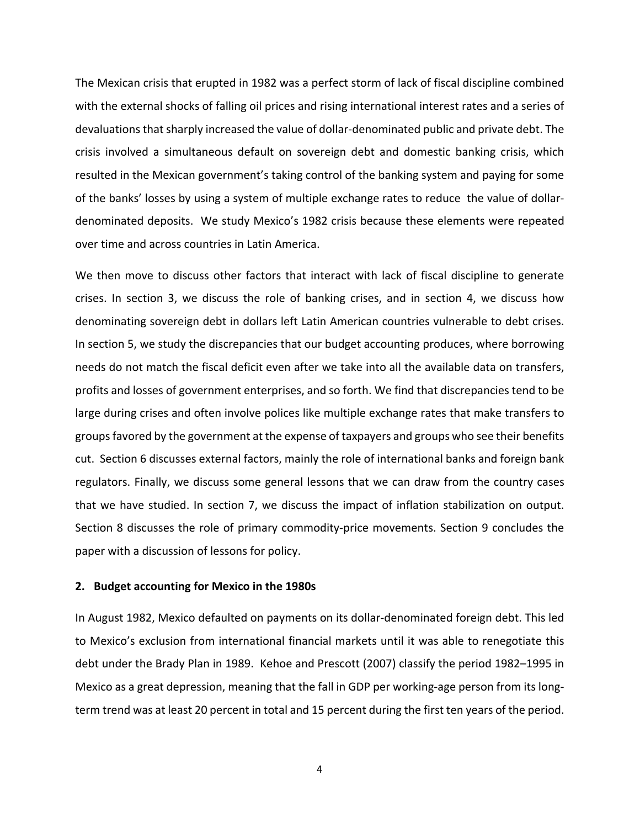The Mexican crisis that erupted in 1982 was a perfect storm of lack of fiscal discipline combined with the external shocks of falling oil prices and rising international interest rates and a series of devaluations that sharply increased the value of dollar‐denominated public and private debt. The crisis involved a simultaneous default on sovereign debt and domestic banking crisis, which resulted in the Mexican government's taking control of the banking system and paying for some of the banks' losses by using a system of multiple exchange rates to reduce the value of dollar‐ denominated deposits. We study Mexico's 1982 crisis because these elements were repeated over time and across countries in Latin America.

We then move to discuss other factors that interact with lack of fiscal discipline to generate crises. In section 3, we discuss the role of banking crises, and in section 4, we discuss how denominating sovereign debt in dollars left Latin American countries vulnerable to debt crises. In section 5, we study the discrepancies that our budget accounting produces, where borrowing needs do not match the fiscal deficit even after we take into all the available data on transfers, profits and losses of government enterprises, and so forth. We find that discrepancies tend to be large during crises and often involve polices like multiple exchange rates that make transfers to groups favored by the government at the expense of taxpayers and groups who see their benefits cut. Section 6 discusses external factors, mainly the role of international banks and foreign bank regulators. Finally, we discuss some general lessons that we can draw from the country cases that we have studied. In section 7, we discuss the impact of inflation stabilization on output. Section 8 discusses the role of primary commodity-price movements. Section 9 concludes the paper with a discussion of lessons for policy.

#### **2. Budget accounting for Mexico in the 1980s**

In August 1982, Mexico defaulted on payments on its dollar-denominated foreign debt. This led to Mexico's exclusion from international financial markets until it was able to renegotiate this debt under the Brady Plan in 1989. Kehoe and Prescott (2007) classify the period 1982–1995 in Mexico as a great depression, meaning that the fall in GDP per working-age person from its longterm trend was at least 20 percent in total and 15 percent during the first ten years of the period.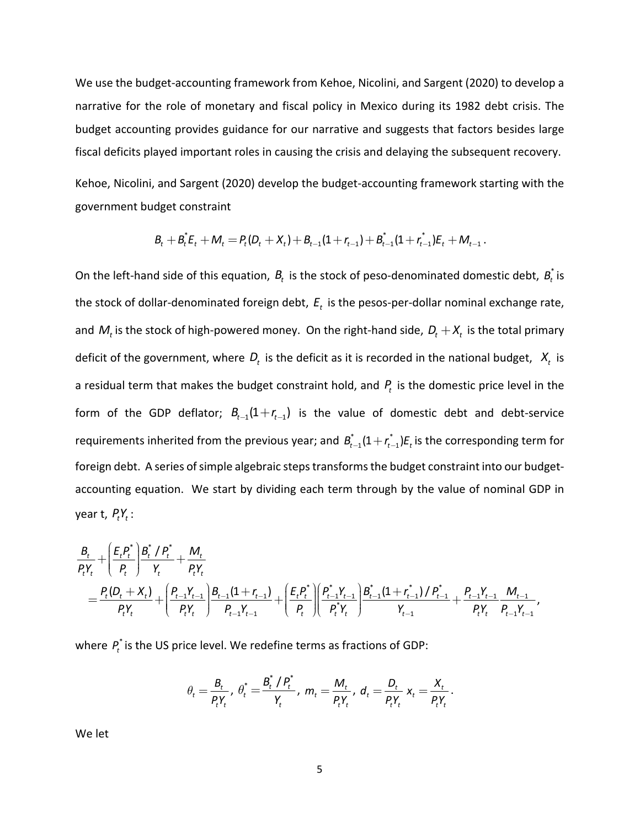We use the budget‐accounting framework from Kehoe, Nicolini, and Sargent (2020) to develop a narrative for the role of monetary and fiscal policy in Mexico during its 1982 debt crisis. The budget accounting provides guidance for our narrative and suggests that factors besides large fiscal deficits played important roles in causing the crisis and delaying the subsequent recovery.

Kehoe, Nicolini, and Sargent (2020) develop the budget‐accounting framework starting with the government budget constraint

$$
B_t + B_t^* E_t + M_t = P_t (D_t + X_t) + B_{t-1} (1 + r_{t-1}) + B_{t-1}^* (1 + r_{t-1}^*) E_t + M_{t-1}.
$$

On the left-hand side of this equation,  $B_t$  is the stock of peso-denominated domestic debt,  $B_t^*$  is the stock of dollar-denominated foreign debt,  $E_t$  is the pesos-per-dollar nominal exchange rate, and  $M_t$  is the stock of high-powered money. On the right-hand side,  $D_t + X_t$  is the total primary deficit of the government, where  $D_t$  is the deficit as it is recorded in the national budget,  $X_t$  is a residual term that makes the budget constraint hold, and  $P_t$  is the domestic price level in the form of the GDP deflator;  $B_{t-1}(1 + r_{t-1})$  is the value of domestic debt and debt-service requirements inherited from the previous year; and  $B_{t-1}^*(1 + r_{t-1}^*)E_t$  is the corresponding term for foreign debt. A series of simple algebraic steps transforms the budget constraint into our budget‐ accounting equation. We start by dividing each term through by the value of nominal GDP in year t,  $P_t Y_t$  :

$$
\begin{split} &\frac{B_t}{P_t Y_t} + \left(\frac{E_t P_t^*}{P_t}\right) \frac{B_t^* / P_t^*}{Y_t} + \frac{M_t}{P_t Y_t} \\ &\quad = \frac{P_t (D_t + X_t)}{P_t Y_t} + \left(\frac{P_{t-1} Y_{t-1}}{P_t Y_t}\right) \frac{B_{t-1} (1 + r_{t-1})}{P_{t-1} Y_{t-1}} + \left(\frac{E_t P_t^*}{P_t}\right) \left(\frac{P_{t-1}^* Y_{t-1}}{P_t^* Y_t}\right) \frac{B_{t-1}^* (1 + r_{t-1}^*) / P_{t-1}^*}{Y_{t-1}} + \frac{P_{t-1} Y_{t-1}}{P_t Y_t} \frac{M_{t-1}}{P_{t-1} Y_{t-1}}, \end{split}
$$

where  $P_t^*$  is the US price level. We redefine terms as fractions of GDP:

$$
\theta_t = \frac{B_t}{P_t Y_t}, \; \theta_t^* = \frac{B_t^* / P_t^*}{Y_t}, \; m_t = \frac{M_t}{P_t Y_t}, \; d_t = \frac{D_t}{P_t Y_t} X_t = \frac{X_t}{P_t Y_t}.
$$

We let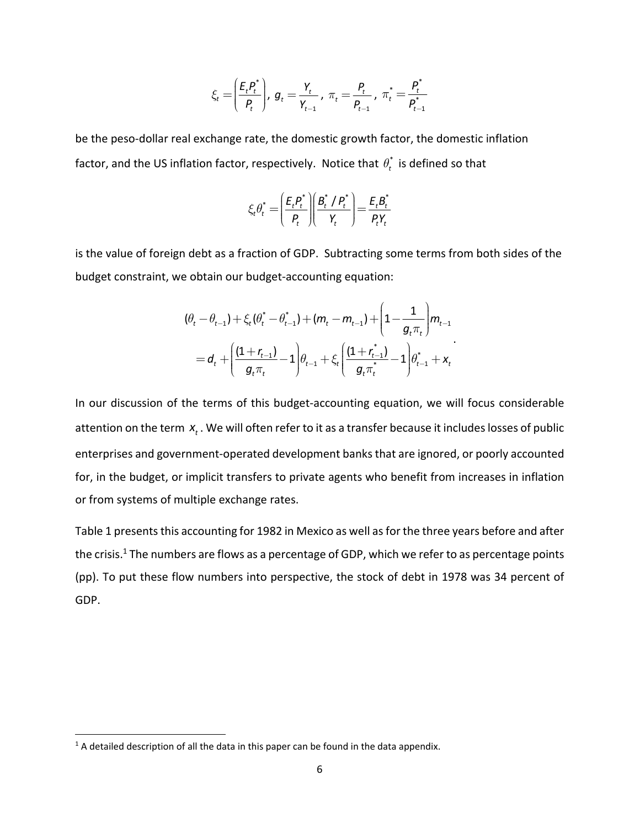$$
\xi_t = \left(\frac{E_t P_t^*}{P_t}\right), \ g_t = \frac{Y_t}{Y_{t-1}}, \ \pi_t = \frac{P_t}{P_{t-1}}, \ \pi_t^* = \frac{P_t^*}{P_{t-1}^*}
$$

be the peso-dollar real exchange rate, the domestic growth factor, the domestic inflation factor, and the US inflation factor, respectively. Notice that  $\theta_t^*$  is defined so that

$$
\xi_t \theta_t^* = \left(\frac{E_t P_t^*}{P_t}\right) \left(\frac{B_t^* / P_t^*}{Y_t}\right) = \frac{E_t B_t^*}{P_t Y_t}
$$

is the value of foreign debt as a fraction of GDP. Subtracting some terms from both sides of the budget constraint, we obtain our budget‐accounting equation:

$$
(\theta_t - \theta_{t-1}) + \xi_t (\theta_t^* - \theta_{t-1}^*) + (m_t - m_{t-1}) + \left(1 - \frac{1}{g_t \pi_t}\right) m_{t-1}
$$
  
=  $d_t + \left(\frac{(1 + r_{t-1})}{g_t \pi_t} - 1\right) \theta_{t-1} + \xi_t \left(\frac{(1 + r_{t-1}^*)}{g_t \pi_t^*} - 1\right) \theta_{t-1}^* + x_t$ 

In our discussion of the terms of this budget‐accounting equation, we will focus considerable attention on the term  $x_t$ . We will often refer to it as a transfer because it includes losses of public enterprises and government‐operated development banks that are ignored, or poorly accounted for, in the budget, or implicit transfers to private agents who benefit from increases in inflation or from systems of multiple exchange rates.

Table 1 presents this accounting for 1982 in Mexico as well as for the three years before and after the crisis.<sup>1</sup> The numbers are flows as a percentage of GDP, which we refer to as percentage points (pp). To put these flow numbers into perspective, the stock of debt in 1978 was 34 percent of GDP.

 $<sup>1</sup>$  A detailed description of all the data in this paper can be found in the data appendix.</sup>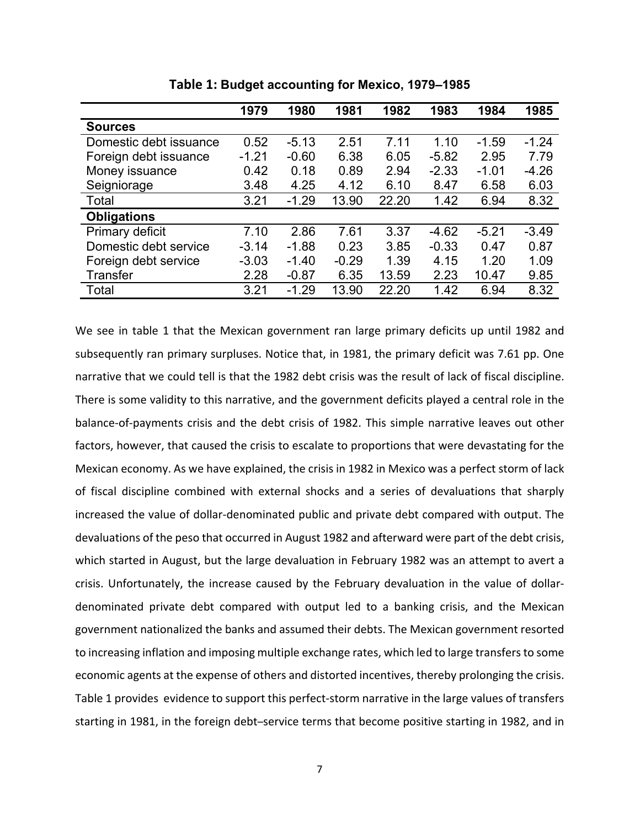|                        | 1979    | 1980    | 1981    | 1982  | 1983    | 1984    | 1985    |
|------------------------|---------|---------|---------|-------|---------|---------|---------|
| <b>Sources</b>         |         |         |         |       |         |         |         |
| Domestic debt issuance | 0.52    | $-5.13$ | 2.51    | 7.11  | 1.10    | $-1.59$ | $-1.24$ |
| Foreign debt issuance  | $-1.21$ | $-0.60$ | 6.38    | 6.05  | $-5.82$ | 2.95    | 7.79    |
| Money issuance         | 0.42    | 0.18    | 0.89    | 2.94  | $-2.33$ | $-1.01$ | $-4.26$ |
| Seigniorage            | 3.48    | 4.25    | 4.12    | 6.10  | 8.47    | 6.58    | 6.03    |
| Total                  | 3.21    | $-1.29$ | 13.90   | 22.20 | 1.42    | 6.94    | 8.32    |
| <b>Obligations</b>     |         |         |         |       |         |         |         |
| Primary deficit        | 7.10    | 2.86    | 7.61    | 3.37  | $-4.62$ | $-5.21$ | $-3.49$ |
| Domestic debt service  | $-3.14$ | $-1.88$ | 0.23    | 3.85  | $-0.33$ | 0.47    | 0.87    |
| Foreign debt service   | $-3.03$ | $-1.40$ | $-0.29$ | 1.39  | 4.15    | 1.20    | 1.09    |
| <b>Transfer</b>        | 2.28    | $-0.87$ | 6.35    | 13.59 | 2.23    | 10.47   | 9.85    |
| Total                  | 3.21    | $-1.29$ | 13.90   | 22.20 | 1.42    | 6.94    | 8.32    |

**Table 1: Budget accounting for Mexico, 1979–1985** 

We see in table 1 that the Mexican government ran large primary deficits up until 1982 and subsequently ran primary surpluses. Notice that, in 1981, the primary deficit was 7.61 pp. One narrative that we could tell is that the 1982 debt crisis was the result of lack of fiscal discipline. There is some validity to this narrative, and the government deficits played a central role in the balance-of-payments crisis and the debt crisis of 1982. This simple narrative leaves out other factors, however, that caused the crisis to escalate to proportions that were devastating for the Mexican economy. As we have explained, the crisis in 1982 in Mexico was a perfect storm of lack of fiscal discipline combined with external shocks and a series of devaluations that sharply increased the value of dollar‐denominated public and private debt compared with output. The devaluations of the peso that occurred in August 1982 and afterward were part of the debt crisis, which started in August, but the large devaluation in February 1982 was an attempt to avert a crisis. Unfortunately, the increase caused by the February devaluation in the value of dollar‐ denominated private debt compared with output led to a banking crisis, and the Mexican government nationalized the banks and assumed their debts. The Mexican government resorted to increasing inflation and imposing multiple exchange rates, which led to large transfers to some economic agents at the expense of others and distorted incentives, thereby prolonging the crisis. Table 1 provides evidence to support this perfect-storm narrative in the large values of transfers starting in 1981, in the foreign debt–service terms that become positive starting in 1982, and in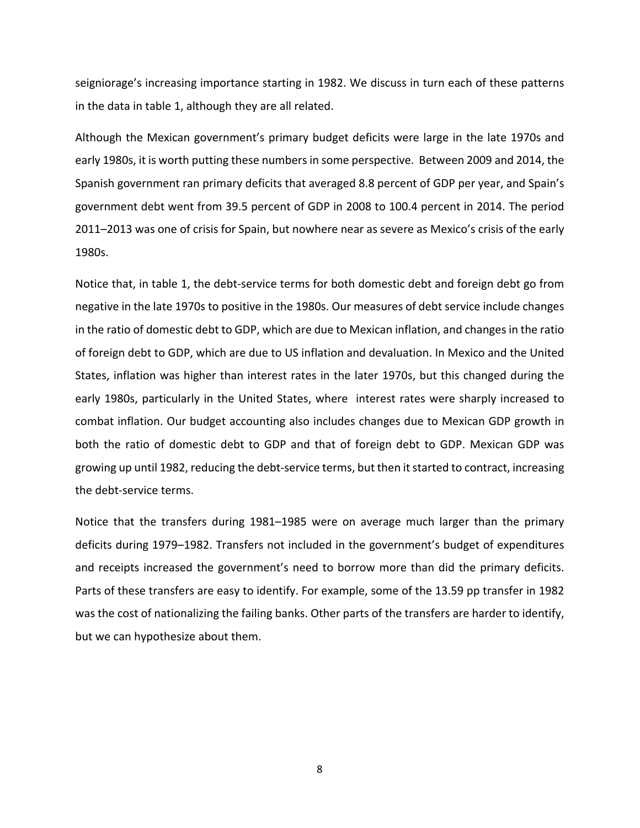seigniorage's increasing importance starting in 1982. We discuss in turn each of these patterns in the data in table 1, although they are all related.

Although the Mexican government's primary budget deficits were large in the late 1970s and early 1980s, it is worth putting these numbers in some perspective. Between 2009 and 2014, the Spanish government ran primary deficits that averaged 8.8 percent of GDP per year, and Spain's government debt went from 39.5 percent of GDP in 2008 to 100.4 percent in 2014. The period 2011–2013 was one of crisis for Spain, but nowhere near as severe as Mexico's crisis of the early 1980s.

Notice that, in table 1, the debt-service terms for both domestic debt and foreign debt go from negative in the late 1970s to positive in the 1980s. Our measures of debt service include changes in the ratio of domestic debt to GDP, which are due to Mexican inflation, and changes in the ratio of foreign debt to GDP, which are due to US inflation and devaluation. In Mexico and the United States, inflation was higher than interest rates in the later 1970s, but this changed during the early 1980s, particularly in the United States, where interest rates were sharply increased to combat inflation. Our budget accounting also includes changes due to Mexican GDP growth in both the ratio of domestic debt to GDP and that of foreign debt to GDP. Mexican GDP was growing up until 1982, reducing the debt‐service terms, but then it started to contract, increasing the debt‐service terms.

Notice that the transfers during 1981–1985 were on average much larger than the primary deficits during 1979–1982. Transfers not included in the government's budget of expenditures and receipts increased the government's need to borrow more than did the primary deficits. Parts of these transfers are easy to identify. For example, some of the 13.59 pp transfer in 1982 was the cost of nationalizing the failing banks. Other parts of the transfers are harder to identify, but we can hypothesize about them.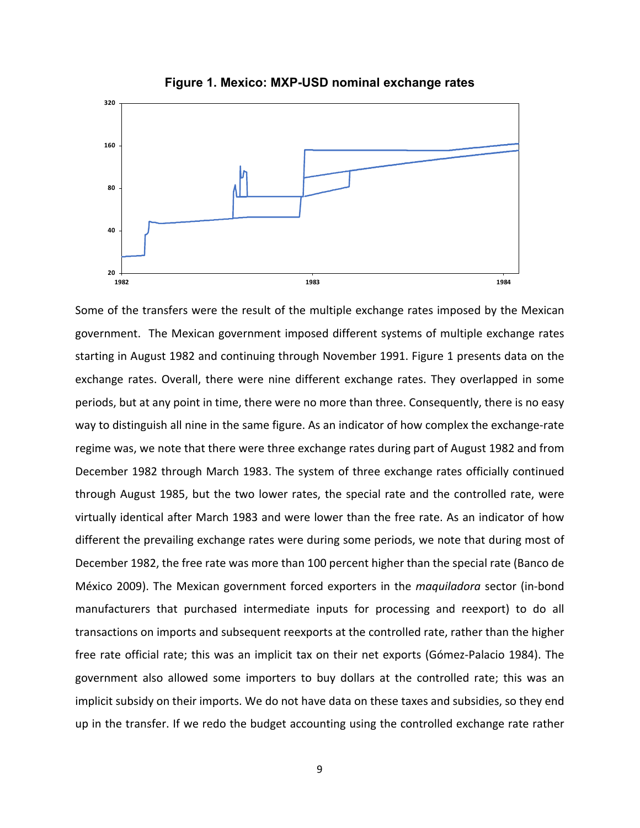

**Figure 1. Mexico: MXP-USD nominal exchange rates** 

Some of the transfers were the result of the multiple exchange rates imposed by the Mexican government. The Mexican government imposed different systems of multiple exchange rates starting in August 1982 and continuing through November 1991. Figure 1 presents data on the exchange rates. Overall, there were nine different exchange rates. They overlapped in some periods, but at any point in time, there were no more than three. Consequently, there is no easy way to distinguish all nine in the same figure. As an indicator of how complex the exchange-rate regime was, we note that there were three exchange rates during part of August 1982 and from December 1982 through March 1983. The system of three exchange rates officially continued through August 1985, but the two lower rates, the special rate and the controlled rate, were virtually identical after March 1983 and were lower than the free rate. As an indicator of how different the prevailing exchange rates were during some periods, we note that during most of December 1982, the free rate was more than 100 percent higher than the special rate (Banco de México 2009). The Mexican government forced exporters in the *maquiladora* sector (in-bond manufacturers that purchased intermediate inputs for processing and reexport) to do all transactions on imports and subsequent reexports at the controlled rate, rather than the higher free rate official rate; this was an implicit tax on their net exports (Gómez-Palacio 1984). The government also allowed some importers to buy dollars at the controlled rate; this was an implicit subsidy on their imports. We do not have data on these taxes and subsidies, so they end up in the transfer. If we redo the budget accounting using the controlled exchange rate rather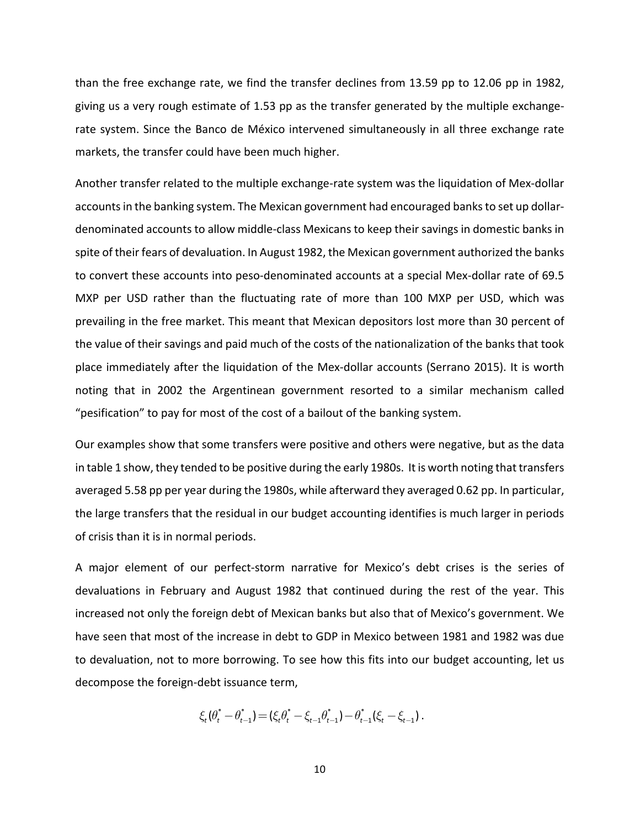than the free exchange rate, we find the transfer declines from 13.59 pp to 12.06 pp in 1982, giving us a very rough estimate of 1.53 pp as the transfer generated by the multiple exchange‐ rate system. Since the Banco de México intervened simultaneously in all three exchange rate markets, the transfer could have been much higher.

Another transfer related to the multiple exchange‐rate system was the liquidation of Mex‐dollar accounts in the banking system. The Mexican government had encouraged banks to set up dollar‐ denominated accounts to allow middle‐class Mexicans to keep their savings in domestic banks in spite of their fears of devaluation. In August 1982, the Mexican government authorized the banks to convert these accounts into peso-denominated accounts at a special Mex-dollar rate of 69.5 MXP per USD rather than the fluctuating rate of more than 100 MXP per USD, which was prevailing in the free market. This meant that Mexican depositors lost more than 30 percent of the value of their savings and paid much of the costs of the nationalization of the banks that took place immediately after the liquidation of the Mex‐dollar accounts (Serrano 2015). It is worth noting that in 2002 the Argentinean government resorted to a similar mechanism called "pesification" to pay for most of the cost of a bailout of the banking system.

Our examples show that some transfers were positive and others were negative, but as the data in table 1 show, they tended to be positive during the early 1980s. It is worth noting that transfers averaged 5.58 pp per year during the 1980s, while afterward they averaged 0.62 pp. In particular, the large transfers that the residual in our budget accounting identifies is much larger in periods of crisis than it is in normal periods.

A major element of our perfect-storm narrative for Mexico's debt crises is the series of devaluations in February and August 1982 that continued during the rest of the year. This increased not only the foreign debt of Mexican banks but also that of Mexico's government. We have seen that most of the increase in debt to GDP in Mexico between 1981 and 1982 was due to devaluation, not to more borrowing. To see how this fits into our budget accounting, let us decompose the foreign‐debt issuance term,

$$
\xi_t(\theta_t^* - \theta_{t-1}^*) = (\xi_t \theta_t^* - \xi_{t-1} \theta_{t-1}^*) - \theta_{t-1}^* (\xi_t - \xi_{t-1}).
$$

$$
10\quad
$$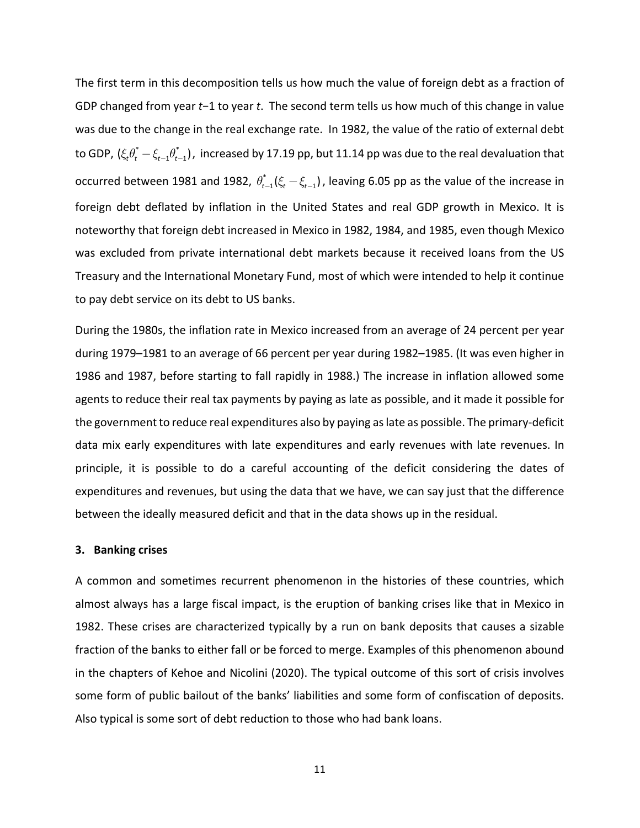The first term in this decomposition tells us how much the value of foreign debt as a fraction of GDP changed from year *t*−1 to year *t*. The second term tells us how much of this change in value was due to the change in the real exchange rate. In 1982, the value of the ratio of external debt to GDP,  $(\xi_t\theta_t^*-\xi_{t-1}\theta_{t-1}^*)$ , increased by 17.19 pp, but 11.14 pp was due to the real devaluation that occurred between 1981 and 1982,  $\theta_{t-1}^* (\xi_t - \xi_{t-1})$ , leaving 6.05 pp as the value of the increase in foreign debt deflated by inflation in the United States and real GDP growth in Mexico. It is noteworthy that foreign debt increased in Mexico in 1982, 1984, and 1985, even though Mexico was excluded from private international debt markets because it received loans from the US Treasury and the International Monetary Fund, most of which were intended to help it continue to pay debt service on its debt to US banks.

During the 1980s, the inflation rate in Mexico increased from an average of 24 percent per year during 1979–1981 to an average of 66 percent per year during 1982–1985. (It was even higher in 1986 and 1987, before starting to fall rapidly in 1988.) The increase in inflation allowed some agents to reduce their real tax payments by paying as late as possible, and it made it possible for the government to reduce real expenditures also by paying as late as possible. The primary‐deficit data mix early expenditures with late expenditures and early revenues with late revenues. In principle, it is possible to do a careful accounting of the deficit considering the dates of expenditures and revenues, but using the data that we have, we can say just that the difference between the ideally measured deficit and that in the data shows up in the residual.

#### **3. Banking crises**

A common and sometimes recurrent phenomenon in the histories of these countries, which almost always has a large fiscal impact, is the eruption of banking crises like that in Mexico in 1982. These crises are characterized typically by a run on bank deposits that causes a sizable fraction of the banks to either fall or be forced to merge. Examples of this phenomenon abound in the chapters of Kehoe and Nicolini (2020). The typical outcome of this sort of crisis involves some form of public bailout of the banks' liabilities and some form of confiscation of deposits. Also typical is some sort of debt reduction to those who had bank loans.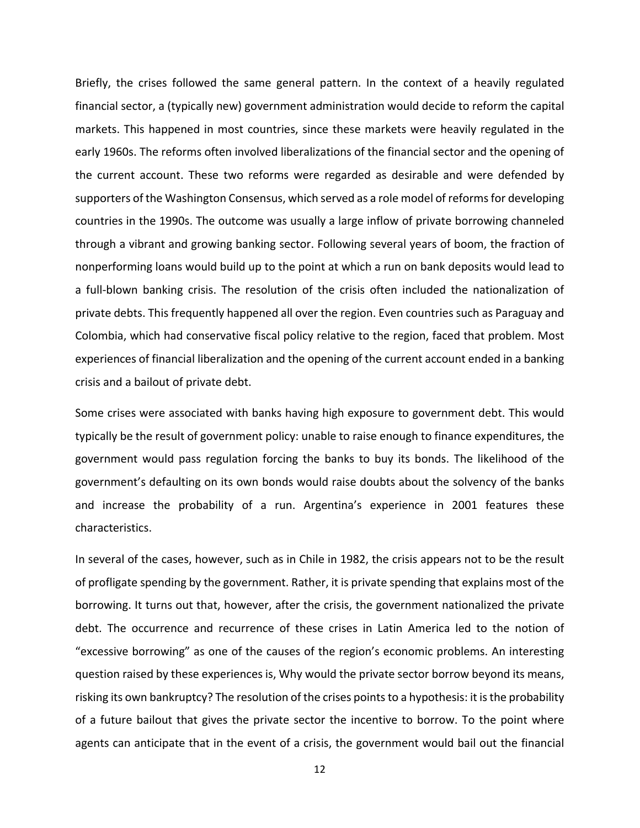Briefly, the crises followed the same general pattern. In the context of a heavily regulated financial sector, a (typically new) government administration would decide to reform the capital markets. This happened in most countries, since these markets were heavily regulated in the early 1960s. The reforms often involved liberalizations of the financial sector and the opening of the current account. These two reforms were regarded as desirable and were defended by supporters of the Washington Consensus, which served as a role model of reforms for developing countries in the 1990s. The outcome was usually a large inflow of private borrowing channeled through a vibrant and growing banking sector. Following several years of boom, the fraction of nonperforming loans would build up to the point at which a run on bank deposits would lead to a full‐blown banking crisis. The resolution of the crisis often included the nationalization of private debts. This frequently happened all over the region. Even countries such as Paraguay and Colombia, which had conservative fiscal policy relative to the region, faced that problem. Most experiences of financial liberalization and the opening of the current account ended in a banking crisis and a bailout of private debt.

Some crises were associated with banks having high exposure to government debt. This would typically be the result of government policy: unable to raise enough to finance expenditures, the government would pass regulation forcing the banks to buy its bonds. The likelihood of the government's defaulting on its own bonds would raise doubts about the solvency of the banks and increase the probability of a run. Argentina's experience in 2001 features these characteristics.

In several of the cases, however, such as in Chile in 1982, the crisis appears not to be the result of profligate spending by the government. Rather, it is private spending that explains most of the borrowing. It turns out that, however, after the crisis, the government nationalized the private debt. The occurrence and recurrence of these crises in Latin America led to the notion of "excessive borrowing" as one of the causes of the region's economic problems. An interesting question raised by these experiences is, Why would the private sector borrow beyond its means, risking its own bankruptcy? The resolution of the crises points to a hypothesis: it is the probability of a future bailout that gives the private sector the incentive to borrow. To the point where agents can anticipate that in the event of a crisis, the government would bail out the financial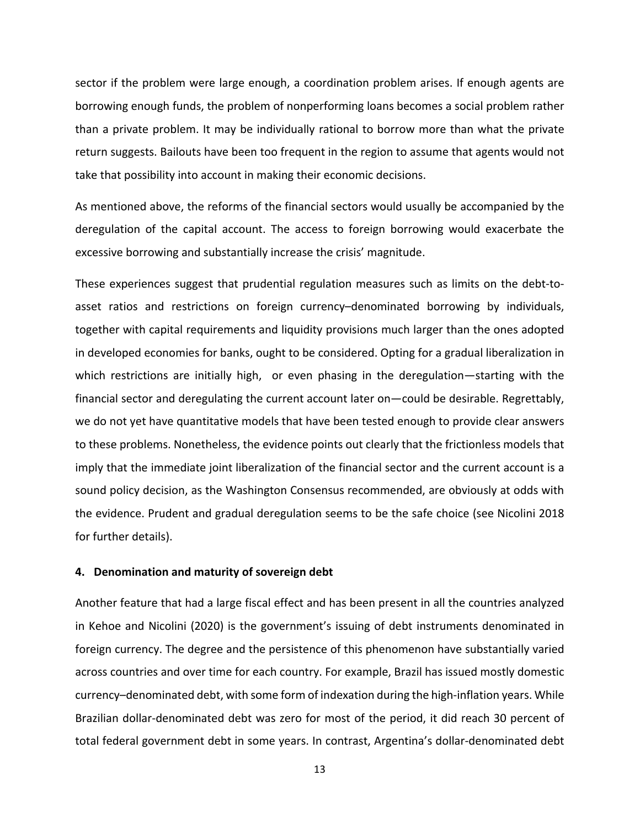sector if the problem were large enough, a coordination problem arises. If enough agents are borrowing enough funds, the problem of nonperforming loans becomes a social problem rather than a private problem. It may be individually rational to borrow more than what the private return suggests. Bailouts have been too frequent in the region to assume that agents would not take that possibility into account in making their economic decisions.

As mentioned above, the reforms of the financial sectors would usually be accompanied by the deregulation of the capital account. The access to foreign borrowing would exacerbate the excessive borrowing and substantially increase the crisis' magnitude.

These experiences suggest that prudential regulation measures such as limits on the debt-toasset ratios and restrictions on foreign currency–denominated borrowing by individuals, together with capital requirements and liquidity provisions much larger than the ones adopted in developed economies for banks, ought to be considered. Opting for a gradual liberalization in which restrictions are initially high, or even phasing in the deregulation—starting with the financial sector and deregulating the current account later on—could be desirable. Regrettably, we do not yet have quantitative models that have been tested enough to provide clear answers to these problems. Nonetheless, the evidence points out clearly that the frictionless models that imply that the immediate joint liberalization of the financial sector and the current account is a sound policy decision, as the Washington Consensus recommended, are obviously at odds with the evidence. Prudent and gradual deregulation seems to be the safe choice (see Nicolini 2018 for further details).

#### **4. Denomination and maturity of sovereign debt**

Another feature that had a large fiscal effect and has been present in all the countries analyzed in Kehoe and Nicolini (2020) is the government's issuing of debt instruments denominated in foreign currency. The degree and the persistence of this phenomenon have substantially varied across countries and over time for each country. For example, Brazil has issued mostly domestic currency-denominated debt, with some form of indexation during the high-inflation years. While Brazilian dollar-denominated debt was zero for most of the period, it did reach 30 percent of total federal government debt in some years. In contrast, Argentina's dollar-denominated debt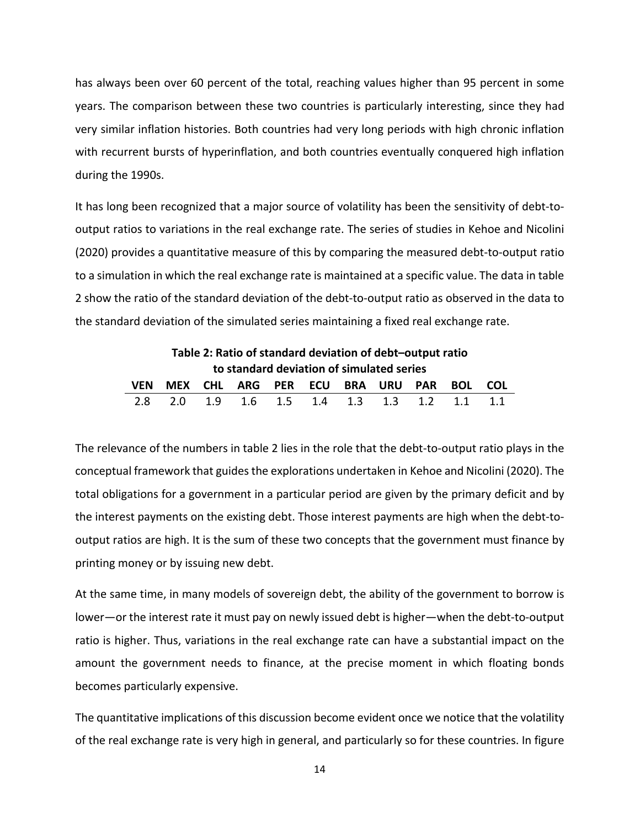has always been over 60 percent of the total, reaching values higher than 95 percent in some years. The comparison between these two countries is particularly interesting, since they had very similar inflation histories. Both countries had very long periods with high chronic inflation with recurrent bursts of hyperinflation, and both countries eventually conquered high inflation during the 1990s.

It has long been recognized that a major source of volatility has been the sensitivity of debt-tooutput ratios to variations in the real exchange rate. The series of studies in Kehoe and Nicolini (2020) provides a quantitative measure of this by comparing the measured debt‐to‐output ratio to a simulation in which the real exchange rate is maintained at a specific value. The data in table 2 show the ratio of the standard deviation of the debt-to-output ratio as observed in the data to the standard deviation of the simulated series maintaining a fixed real exchange rate.

| Table 2: Ratio of standard deviation of debt-output ratio |                                             |  |                                         |  |  |  |  |  |  |  |
|-----------------------------------------------------------|---------------------------------------------|--|-----------------------------------------|--|--|--|--|--|--|--|
| to standard deviation of simulated series                 |                                             |  |                                         |  |  |  |  |  |  |  |
| <b>VEN</b>                                                |                                             |  | MEX CHL ARG PER ECU BRA URU PAR BOL COL |  |  |  |  |  |  |  |
|                                                           | 2.8 2.0 1.9 1.6 1.5 1.4 1.3 1.3 1.2 1.1 1.1 |  |                                         |  |  |  |  |  |  |  |

The relevance of the numbers in table 2 lies in the role that the debt-to-output ratio plays in the conceptual framework that guides the explorations undertaken in Kehoe and Nicolini (2020). The total obligations for a government in a particular period are given by the primary deficit and by the interest payments on the existing debt. Those interest payments are high when the debt‐to‐ output ratios are high. It is the sum of these two concepts that the government must finance by printing money or by issuing new debt.

At the same time, in many models of sovereign debt, the ability of the government to borrow is lower—or the interest rate it must pay on newly issued debt is higher—when the debt-to-output ratio is higher. Thus, variations in the real exchange rate can have a substantial impact on the amount the government needs to finance, at the precise moment in which floating bonds becomes particularly expensive.

The quantitative implications of this discussion become evident once we notice that the volatility of the real exchange rate is very high in general, and particularly so for these countries. In figure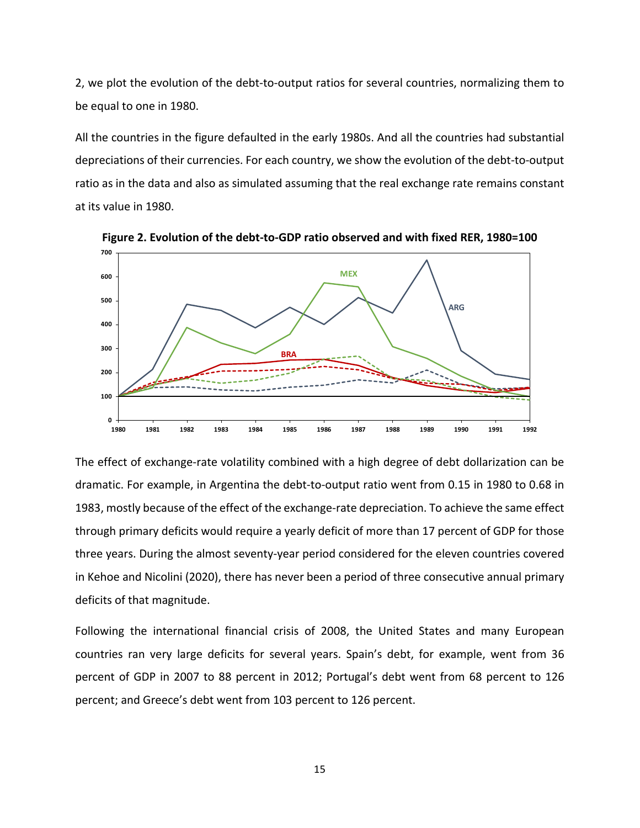2, we plot the evolution of the debt-to-output ratios for several countries, normalizing them to be equal to one in 1980.

All the countries in the figure defaulted in the early 1980s. And all the countries had substantial depreciations of their currencies. For each country, we show the evolution of the debt-to-output ratio as in the data and also as simulated assuming that the real exchange rate remains constant at its value in 1980.



**Figure 2. Evolution of the debt‐to‐GDP ratio observed and with fixed RER, 1980=100** 

The effect of exchange-rate volatility combined with a high degree of debt dollarization can be dramatic. For example, in Argentina the debt-to-output ratio went from 0.15 in 1980 to 0.68 in 1983, mostly because of the effect of the exchange‐rate depreciation. To achieve the same effect through primary deficits would require a yearly deficit of more than 17 percent of GDP for those three years. During the almost seventy‐year period considered for the eleven countries covered in Kehoe and Nicolini (2020), there has never been a period of three consecutive annual primary deficits of that magnitude.

Following the international financial crisis of 2008, the United States and many European countries ran very large deficits for several years. Spain's debt, for example, went from 36 percent of GDP in 2007 to 88 percent in 2012; Portugal's debt went from 68 percent to 126 percent; and Greece's debt went from 103 percent to 126 percent.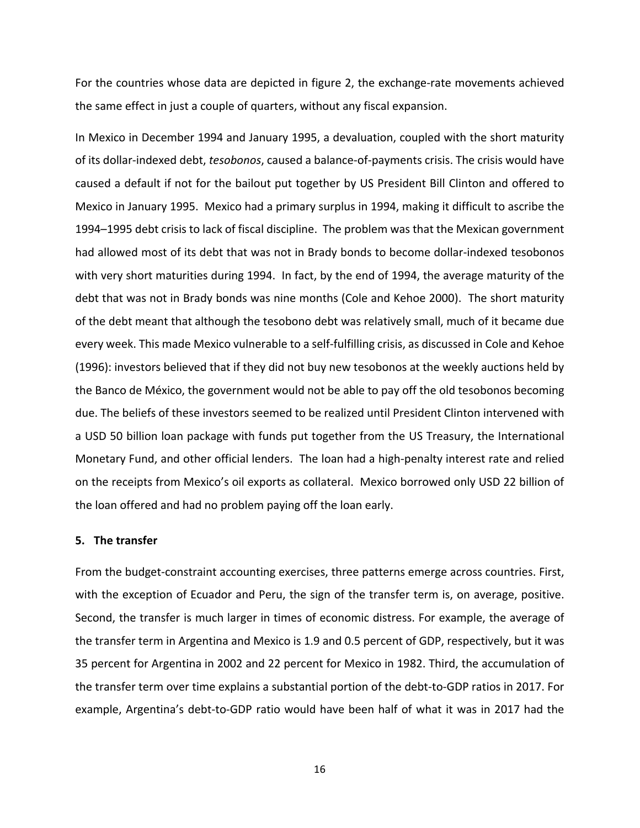For the countries whose data are depicted in figure 2, the exchange-rate movements achieved the same effect in just a couple of quarters, without any fiscal expansion.

In Mexico in December 1994 and January 1995, a devaluation, coupled with the short maturity of its dollar‐indexed debt, *tesobonos*, caused a balance‐of‐payments crisis. The crisis would have caused a default if not for the bailout put together by US President Bill Clinton and offered to Mexico in January 1995. Mexico had a primary surplus in 1994, making it difficult to ascribe the 1994–1995 debt crisis to lack of fiscal discipline. The problem was that the Mexican government had allowed most of its debt that was not in Brady bonds to become dollar-indexed tesobonos with very short maturities during 1994. In fact, by the end of 1994, the average maturity of the debt that was not in Brady bonds was nine months (Cole and Kehoe 2000). The short maturity of the debt meant that although the tesobono debt was relatively small, much of it became due every week. This made Mexico vulnerable to a self‐fulfilling crisis, as discussed in Cole and Kehoe (1996): investors believed that if they did not buy new tesobonos at the weekly auctions held by the Banco de México, the government would not be able to pay off the old tesobonos becoming due. The beliefs of these investors seemed to be realized until President Clinton intervened with a USD 50 billion loan package with funds put together from the US Treasury, the International Monetary Fund, and other official lenders. The loan had a high‐penalty interest rate and relied on the receipts from Mexico's oil exports as collateral. Mexico borrowed only USD 22 billion of the loan offered and had no problem paying off the loan early.

#### **5. The transfer**

From the budget-constraint accounting exercises, three patterns emerge across countries. First, with the exception of Ecuador and Peru, the sign of the transfer term is, on average, positive. Second, the transfer is much larger in times of economic distress. For example, the average of the transfer term in Argentina and Mexico is 1.9 and 0.5 percent of GDP, respectively, but it was 35 percent for Argentina in 2002 and 22 percent for Mexico in 1982. Third, the accumulation of the transfer term over time explains a substantial portion of the debt‐to‐GDP ratios in 2017. For example, Argentina's debt‐to‐GDP ratio would have been half of what it was in 2017 had the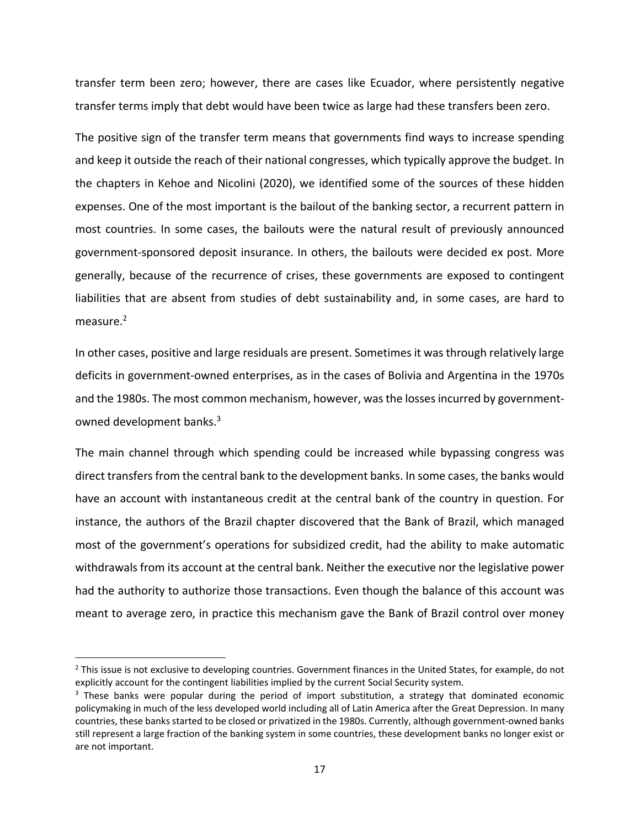transfer term been zero; however, there are cases like Ecuador, where persistently negative transfer terms imply that debt would have been twice as large had these transfers been zero.

The positive sign of the transfer term means that governments find ways to increase spending and keep it outside the reach of their national congresses, which typically approve the budget. In the chapters in Kehoe and Nicolini (2020), we identified some of the sources of these hidden expenses. One of the most important is the bailout of the banking sector, a recurrent pattern in most countries. In some cases, the bailouts were the natural result of previously announced government‐sponsored deposit insurance. In others, the bailouts were decided ex post. More generally, because of the recurrence of crises, these governments are exposed to contingent liabilities that are absent from studies of debt sustainability and, in some cases, are hard to measure.<sup>2</sup>

In other cases, positive and large residuals are present. Sometimes it was through relatively large deficits in government‐owned enterprises, as in the cases of Bolivia and Argentina in the 1970s and the 1980s. The most common mechanism, however, was the losses incurred by government‐ owned development banks.<sup>3</sup>

The main channel through which spending could be increased while bypassing congress was direct transfers from the central bank to the development banks. In some cases, the banks would have an account with instantaneous credit at the central bank of the country in question. For instance, the authors of the Brazil chapter discovered that the Bank of Brazil, which managed most of the government's operations for subsidized credit, had the ability to make automatic withdrawals from its account at the central bank. Neither the executive nor the legislative power had the authority to authorize those transactions. Even though the balance of this account was meant to average zero, in practice this mechanism gave the Bank of Brazil control over money

 $^2$  This issue is not exclusive to developing countries. Government finances in the United States, for example, do not explicitly account for the contingent liabilities implied by the current Social Security system.

<sup>&</sup>lt;sup>3</sup> These banks were popular during the period of import substitution, a strategy that dominated economic policymaking in much of the less developed world including all of Latin America after the Great Depression. In many countries, these banks started to be closed or privatized in the 1980s. Currently, although government‐owned banks still represent a large fraction of the banking system in some countries, these development banks no longer exist or are not important.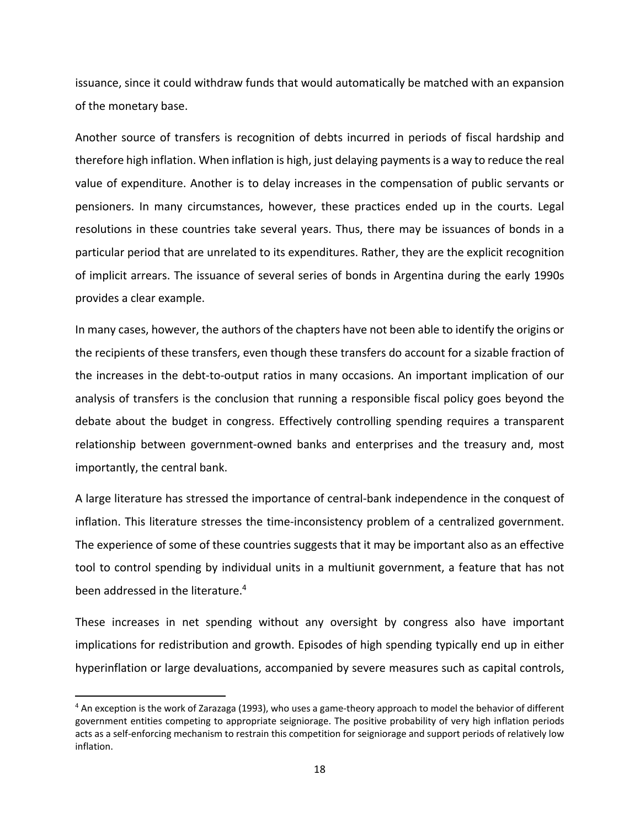issuance, since it could withdraw funds that would automatically be matched with an expansion of the monetary base.

Another source of transfers is recognition of debts incurred in periods of fiscal hardship and therefore high inflation. When inflation is high, just delaying payments is a way to reduce the real value of expenditure. Another is to delay increases in the compensation of public servants or pensioners. In many circumstances, however, these practices ended up in the courts. Legal resolutions in these countries take several years. Thus, there may be issuances of bonds in a particular period that are unrelated to its expenditures. Rather, they are the explicit recognition of implicit arrears. The issuance of several series of bonds in Argentina during the early 1990s provides a clear example.

In many cases, however, the authors of the chapters have not been able to identify the origins or the recipients of these transfers, even though these transfers do account for a sizable fraction of the increases in the debt-to-output ratios in many occasions. An important implication of our analysis of transfers is the conclusion that running a responsible fiscal policy goes beyond the debate about the budget in congress. Effectively controlling spending requires a transparent relationship between government‐owned banks and enterprises and the treasury and, most importantly, the central bank.

A large literature has stressed the importance of central‐bank independence in the conquest of inflation. This literature stresses the time‐inconsistency problem of a centralized government. The experience of some of these countries suggests that it may be important also as an effective tool to control spending by individual units in a multiunit government, a feature that has not been addressed in the literature.<sup>4</sup>

These increases in net spending without any oversight by congress also have important implications for redistribution and growth. Episodes of high spending typically end up in either hyperinflation or large devaluations, accompanied by severe measures such as capital controls,

<sup>&</sup>lt;sup>4</sup> An exception is the work of Zarazaga (1993), who uses a game-theory approach to model the behavior of different government entities competing to appropriate seigniorage. The positive probability of very high inflation periods acts as a self-enforcing mechanism to restrain this competition for seigniorage and support periods of relatively low inflation.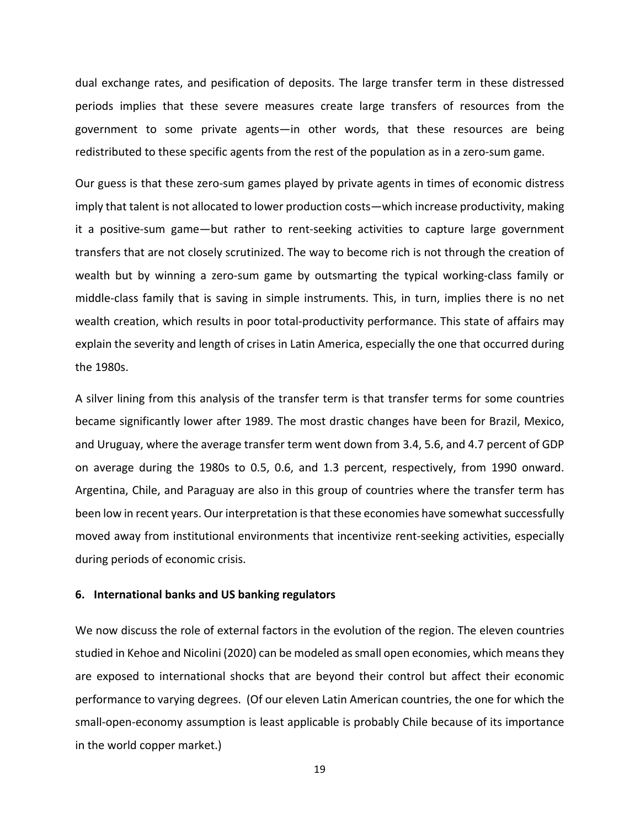dual exchange rates, and pesification of deposits. The large transfer term in these distressed periods implies that these severe measures create large transfers of resources from the government to some private agents—in other words, that these resources are being redistributed to these specific agents from the rest of the population as in a zero-sum game.

Our guess is that these zero-sum games played by private agents in times of economic distress imply that talent is not allocated to lower production costs—which increase productivity, making it a positive-sum game—but rather to rent-seeking activities to capture large government transfers that are not closely scrutinized. The way to become rich is not through the creation of wealth but by winning a zero-sum game by outsmarting the typical working-class family or middle‐class family that is saving in simple instruments. This, in turn, implies there is no net wealth creation, which results in poor total-productivity performance. This state of affairs may explain the severity and length of crises in Latin America, especially the one that occurred during the 1980s.

A silver lining from this analysis of the transfer term is that transfer terms for some countries became significantly lower after 1989. The most drastic changes have been for Brazil, Mexico, and Uruguay, where the average transfer term went down from 3.4, 5.6, and 4.7 percent of GDP on average during the 1980s to 0.5, 0.6, and 1.3 percent, respectively, from 1990 onward. Argentina, Chile, and Paraguay are also in this group of countries where the transfer term has been low in recent years. Our interpretation is that these economies have somewhat successfully moved away from institutional environments that incentivize rent‐seeking activities, especially during periods of economic crisis.

#### **6. International banks and US banking regulators**

We now discuss the role of external factors in the evolution of the region. The eleven countries studied in Kehoe and Nicolini (2020) can be modeled as small open economies, which means they are exposed to international shocks that are beyond their control but affect their economic performance to varying degrees. (Of our eleven Latin American countries, the one for which the small‐open‐economy assumption is least applicable is probably Chile because of its importance in the world copper market.)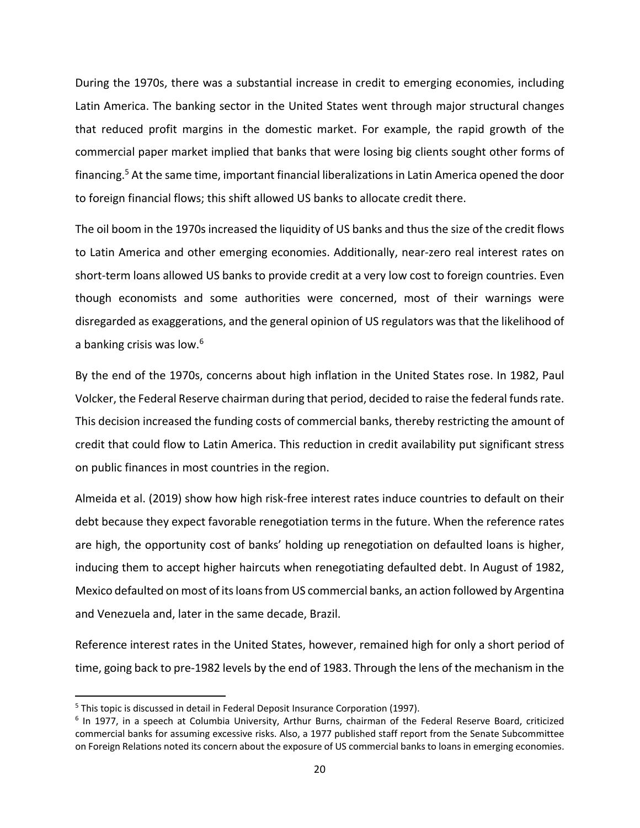During the 1970s, there was a substantial increase in credit to emerging economies, including Latin America. The banking sector in the United States went through major structural changes that reduced profit margins in the domestic market. For example, the rapid growth of the commercial paper market implied that banks that were losing big clients sought other forms of financing.<sup>5</sup> At the same time, important financial liberalizations in Latin America opened the door to foreign financial flows; this shift allowed US banks to allocate credit there.

The oil boom in the 1970s increased the liquidity of US banks and thus the size of the credit flows to Latin America and other emerging economies. Additionally, near‐zero real interest rates on short-term loans allowed US banks to provide credit at a very low cost to foreign countries. Even though economists and some authorities were concerned, most of their warnings were disregarded as exaggerations, and the general opinion of US regulators was that the likelihood of a banking crisis was low.6

By the end of the 1970s, concerns about high inflation in the United States rose. In 1982, Paul Volcker, the Federal Reserve chairman during that period, decided to raise the federal funds rate. This decision increased the funding costs of commercial banks, thereby restricting the amount of credit that could flow to Latin America. This reduction in credit availability put significant stress on public finances in most countries in the region.

Almeida et al. (2019) show how high risk‐free interest rates induce countries to default on their debt because they expect favorable renegotiation terms in the future. When the reference rates are high, the opportunity cost of banks' holding up renegotiation on defaulted loans is higher, inducing them to accept higher haircuts when renegotiating defaulted debt. In August of 1982, Mexico defaulted on most of its loans from US commercial banks, an action followed by Argentina and Venezuela and, later in the same decade, Brazil.

Reference interest rates in the United States, however, remained high for only a short period of time, going back to pre‐1982 levels by the end of 1983. Through the lens of the mechanism in the

<sup>&</sup>lt;sup>5</sup> This topic is discussed in detail in Federal Deposit Insurance Corporation (1997).

<sup>&</sup>lt;sup>6</sup> In 1977, in a speech at Columbia University, Arthur Burns, chairman of the Federal Reserve Board, criticized commercial banks for assuming excessive risks. Also, a 1977 published staff report from the Senate Subcommittee on Foreign Relations noted its concern about the exposure of US commercial banks to loans in emerging economies.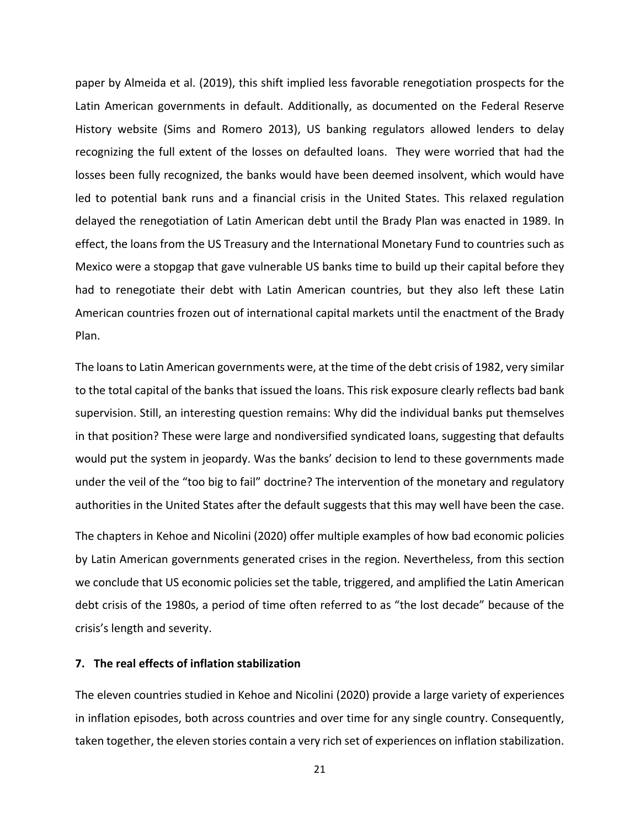paper by Almeida et al. (2019), this shift implied less favorable renegotiation prospects for the Latin American governments in default. Additionally, as documented on the Federal Reserve History website (Sims and Romero 2013), US banking regulators allowed lenders to delay recognizing the full extent of the losses on defaulted loans. They were worried that had the losses been fully recognized, the banks would have been deemed insolvent, which would have led to potential bank runs and a financial crisis in the United States. This relaxed regulation delayed the renegotiation of Latin American debt until the Brady Plan was enacted in 1989. In effect, the loans from the US Treasury and the International Monetary Fund to countries such as Mexico were a stopgap that gave vulnerable US banks time to build up their capital before they had to renegotiate their debt with Latin American countries, but they also left these Latin American countries frozen out of international capital markets until the enactment of the Brady Plan.

The loans to Latin American governments were, at the time of the debt crisis of 1982, very similar to the total capital of the banks that issued the loans. This risk exposure clearly reflects bad bank supervision. Still, an interesting question remains: Why did the individual banks put themselves in that position? These were large and nondiversified syndicated loans, suggesting that defaults would put the system in jeopardy. Was the banks' decision to lend to these governments made under the veil of the "too big to fail" doctrine? The intervention of the monetary and regulatory authorities in the United States after the default suggests that this may well have been the case.

The chapters in Kehoe and Nicolini (2020) offer multiple examples of how bad economic policies by Latin American governments generated crises in the region. Nevertheless, from this section we conclude that US economic policies set the table, triggered, and amplified the Latin American debt crisis of the 1980s, a period of time often referred to as "the lost decade" because of the crisis's length and severity.

#### **7. The real effects of inflation stabilization**

The eleven countries studied in Kehoe and Nicolini (2020) provide a large variety of experiences in inflation episodes, both across countries and over time for any single country. Consequently, taken together, the eleven stories contain a very rich set of experiences on inflation stabilization.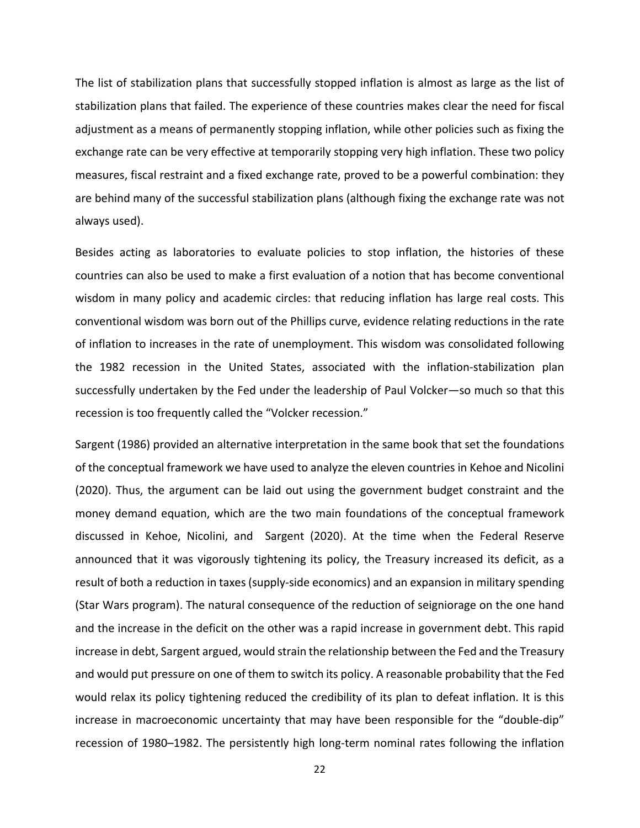The list of stabilization plans that successfully stopped inflation is almost as large as the list of stabilization plans that failed. The experience of these countries makes clear the need for fiscal adjustment as a means of permanently stopping inflation, while other policies such as fixing the exchange rate can be very effective at temporarily stopping very high inflation. These two policy measures, fiscal restraint and a fixed exchange rate, proved to be a powerful combination: they are behind many of the successful stabilization plans (although fixing the exchange rate was not always used).

Besides acting as laboratories to evaluate policies to stop inflation, the histories of these countries can also be used to make a first evaluation of a notion that has become conventional wisdom in many policy and academic circles: that reducing inflation has large real costs. This conventional wisdom was born out of the Phillips curve, evidence relating reductions in the rate of inflation to increases in the rate of unemployment. This wisdom was consolidated following the 1982 recession in the United States, associated with the inflation‐stabilization plan successfully undertaken by the Fed under the leadership of Paul Volcker—so much so that this recession is too frequently called the "Volcker recession."

Sargent (1986) provided an alternative interpretation in the same book that set the foundations of the conceptual framework we have used to analyze the eleven countries in Kehoe and Nicolini (2020). Thus, the argument can be laid out using the government budget constraint and the money demand equation, which are the two main foundations of the conceptual framework discussed in Kehoe, Nicolini, and Sargent (2020). At the time when the Federal Reserve announced that it was vigorously tightening its policy, the Treasury increased its deficit, as a result of both a reduction in taxes (supply‐side economics) and an expansion in military spending (Star Wars program). The natural consequence of the reduction of seigniorage on the one hand and the increase in the deficit on the other was a rapid increase in government debt. This rapid increase in debt, Sargent argued, would strain the relationship between the Fed and the Treasury and would put pressure on one of them to switch its policy. A reasonable probability that the Fed would relax its policy tightening reduced the credibility of its plan to defeat inflation. It is this increase in macroeconomic uncertainty that may have been responsible for the "double‐dip" recession of 1980–1982. The persistently high long‐term nominal rates following the inflation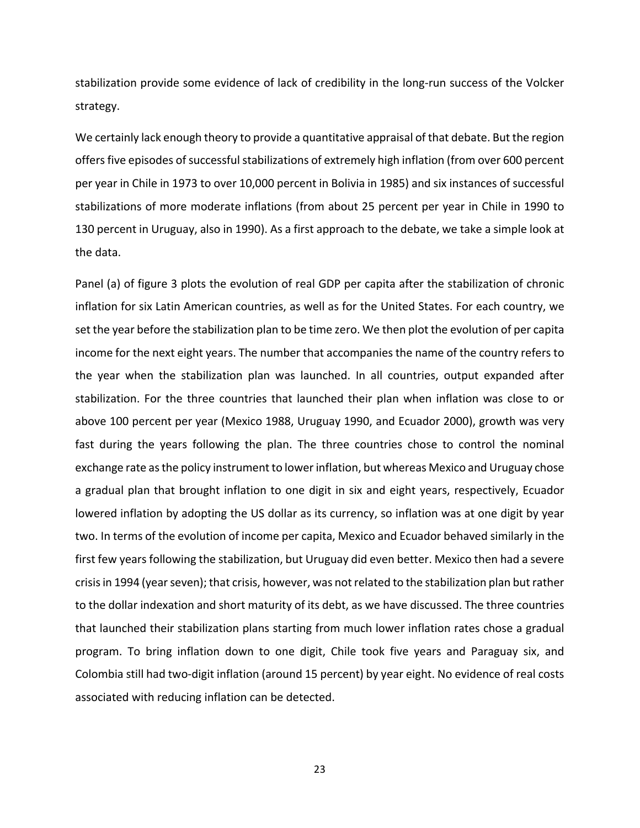stabilization provide some evidence of lack of credibility in the long-run success of the Volcker strategy.

We certainly lack enough theory to provide a quantitative appraisal of that debate. But the region offers five episodes of successful stabilizations of extremely high inflation (from over 600 percent per year in Chile in 1973 to over 10,000 percent in Bolivia in 1985) and six instances of successful stabilizations of more moderate inflations (from about 25 percent per year in Chile in 1990 to 130 percent in Uruguay, also in 1990). As a first approach to the debate, we take a simple look at the data.

Panel (a) of figure 3 plots the evolution of real GDP per capita after the stabilization of chronic inflation for six Latin American countries, as well as for the United States. For each country, we set the year before the stabilization plan to be time zero. We then plot the evolution of per capita income for the next eight years. The number that accompanies the name of the country refers to the year when the stabilization plan was launched. In all countries, output expanded after stabilization. For the three countries that launched their plan when inflation was close to or above 100 percent per year (Mexico 1988, Uruguay 1990, and Ecuador 2000), growth was very fast during the years following the plan. The three countries chose to control the nominal exchange rate as the policy instrument to lower inflation, but whereas Mexico and Uruguay chose a gradual plan that brought inflation to one digit in six and eight years, respectively, Ecuador lowered inflation by adopting the US dollar as its currency, so inflation was at one digit by year two. In terms of the evolution of income per capita, Mexico and Ecuador behaved similarly in the first few years following the stabilization, but Uruguay did even better. Mexico then had a severe crisis in 1994 (year seven); that crisis, however, was not related to the stabilization plan but rather to the dollar indexation and short maturity of its debt, as we have discussed. The three countries that launched their stabilization plans starting from much lower inflation rates chose a gradual program. To bring inflation down to one digit, Chile took five years and Paraguay six, and Colombia still had two‐digit inflation (around 15 percent) by year eight. No evidence of real costs associated with reducing inflation can be detected.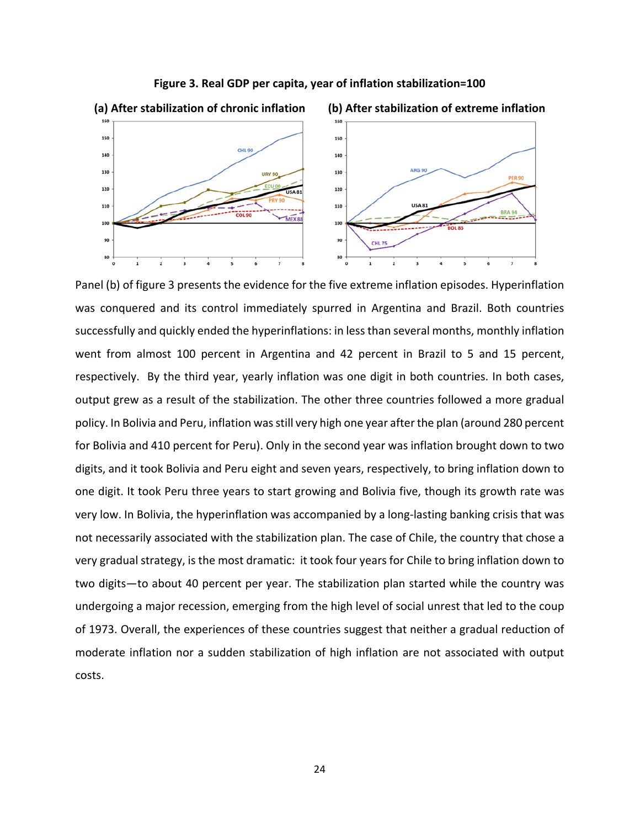

**Figure 3. Real GDP per capita, year of inflation stabilization=100** 

Panel (b) of figure 3 presents the evidence for the five extreme inflation episodes. Hyperinflation was conquered and its control immediately spurred in Argentina and Brazil. Both countries successfully and quickly ended the hyperinflations: in less than several months, monthly inflation went from almost 100 percent in Argentina and 42 percent in Brazil to 5 and 15 percent, respectively. By the third year, yearly inflation was one digit in both countries. In both cases, output grew as a result of the stabilization. The other three countries followed a more gradual policy. In Bolivia and Peru, inflation was still very high one year after the plan (around 280 percent for Bolivia and 410 percent for Peru). Only in the second year was inflation brought down to two digits, and it took Bolivia and Peru eight and seven years, respectively, to bring inflation down to one digit. It took Peru three years to start growing and Bolivia five, though its growth rate was very low. In Bolivia, the hyperinflation was accompanied by a long‐lasting banking crisis that was not necessarily associated with the stabilization plan. The case of Chile, the country that chose a very gradual strategy, is the most dramatic: it took four years for Chile to bring inflation down to two digits—to about 40 percent per year. The stabilization plan started while the country was undergoing a major recession, emerging from the high level of social unrest that led to the coup of 1973. Overall, the experiences of these countries suggest that neither a gradual reduction of moderate inflation nor a sudden stabilization of high inflation are not associated with output costs.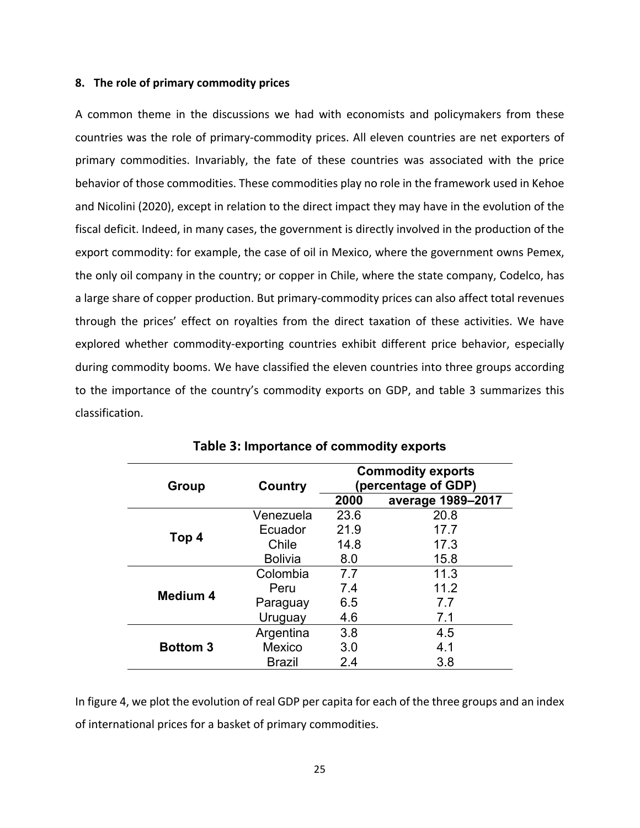#### **8. The role of primary commodity prices**

A common theme in the discussions we had with economists and policymakers from these countries was the role of primary‐commodity prices. All eleven countries are net exporters of primary commodities. Invariably, the fate of these countries was associated with the price behavior of those commodities. These commodities play no role in the framework used in Kehoe and Nicolini (2020), except in relation to the direct impact they may have in the evolution of the fiscal deficit. Indeed, in many cases, the government is directly involved in the production of the export commodity: for example, the case of oil in Mexico, where the government owns Pemex, the only oil company in the country; or copper in Chile, where the state company, Codelco, has a large share of copper production. But primary‐commodity prices can also affect total revenues through the prices' effect on royalties from the direct taxation of these activities. We have explored whether commodity-exporting countries exhibit different price behavior, especially during commodity booms. We have classified the eleven countries into three groups according to the importance of the country's commodity exports on GDP, and table 3 summarizes this classification.

| <b>Group</b>    | Country        | <b>Commodity exports</b><br>(percentage of GDP) |                   |  |  |
|-----------------|----------------|-------------------------------------------------|-------------------|--|--|
|                 |                | 2000                                            | average 1989-2017 |  |  |
|                 | Venezuela      | 23.6                                            | 20.8              |  |  |
|                 | Ecuador        | 21.9                                            | 17.7              |  |  |
| Top 4           | Chile          | 14.8                                            | 17.3              |  |  |
|                 | <b>Bolivia</b> | 8.0                                             | 15.8              |  |  |
|                 | Colombia       | 7.7                                             | 11.3              |  |  |
|                 | Peru           | 7.4                                             | 11.2              |  |  |
| <b>Medium 4</b> | Paraguay       | 6.5                                             | 7.7               |  |  |
|                 | Uruguay        | 4.6                                             | 7.1               |  |  |
| <b>Bottom 3</b> | Argentina      | 3.8                                             | 4.5               |  |  |
|                 | Mexico         | 3.0                                             | 4.1               |  |  |
|                 | Brazil         | 2.4                                             | 3.8               |  |  |

In figure 4, we plot the evolution of real GDP per capita for each of the three groups and an index of international prices for a basket of primary commodities.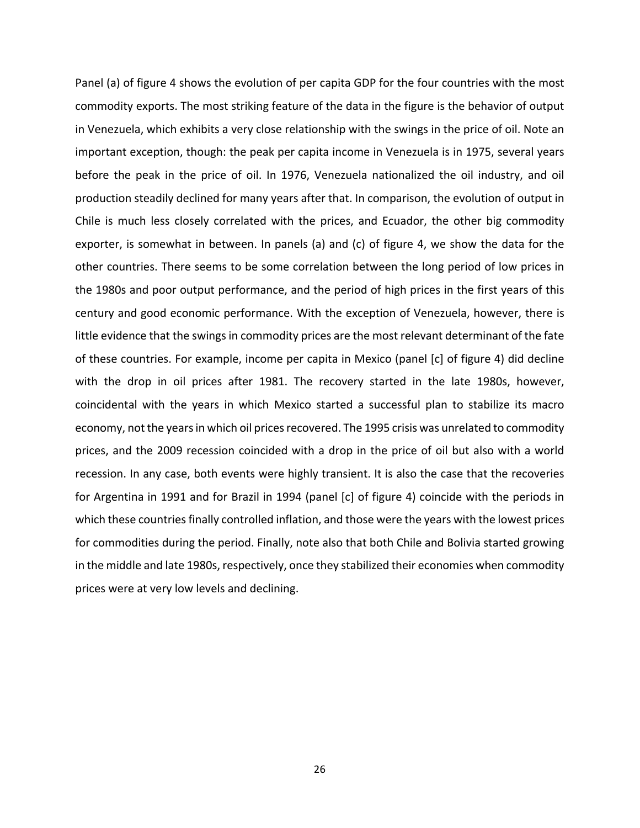Panel (a) of figure 4 shows the evolution of per capita GDP for the four countries with the most commodity exports. The most striking feature of the data in the figure is the behavior of output in Venezuela, which exhibits a very close relationship with the swings in the price of oil. Note an important exception, though: the peak per capita income in Venezuela is in 1975, several years before the peak in the price of oil. In 1976, Venezuela nationalized the oil industry, and oil production steadily declined for many years after that. In comparison, the evolution of output in Chile is much less closely correlated with the prices, and Ecuador, the other big commodity exporter, is somewhat in between. In panels (a) and (c) of figure 4, we show the data for the other countries. There seems to be some correlation between the long period of low prices in the 1980s and poor output performance, and the period of high prices in the first years of this century and good economic performance. With the exception of Venezuela, however, there is little evidence that the swings in commodity prices are the most relevant determinant of the fate of these countries. For example, income per capita in Mexico (panel [c] of figure 4) did decline with the drop in oil prices after 1981. The recovery started in the late 1980s, however, coincidental with the years in which Mexico started a successful plan to stabilize its macro economy, not the years in which oil prices recovered. The 1995 crisis was unrelated to commodity prices, and the 2009 recession coincided with a drop in the price of oil but also with a world recession. In any case, both events were highly transient. It is also the case that the recoveries for Argentina in 1991 and for Brazil in 1994 (panel [c] of figure 4) coincide with the periods in which these countries finally controlled inflation, and those were the years with the lowest prices for commodities during the period. Finally, note also that both Chile and Bolivia started growing in the middle and late 1980s, respectively, once they stabilized their economies when commodity prices were at very low levels and declining.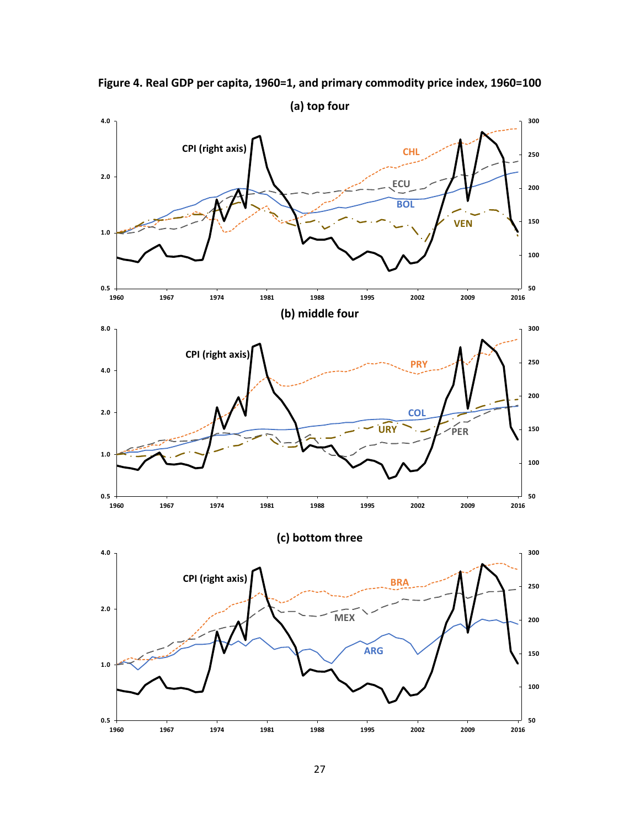

**Figure 4. Real GDP per capita, 1960=1, and primary commodity price index, 1960=100**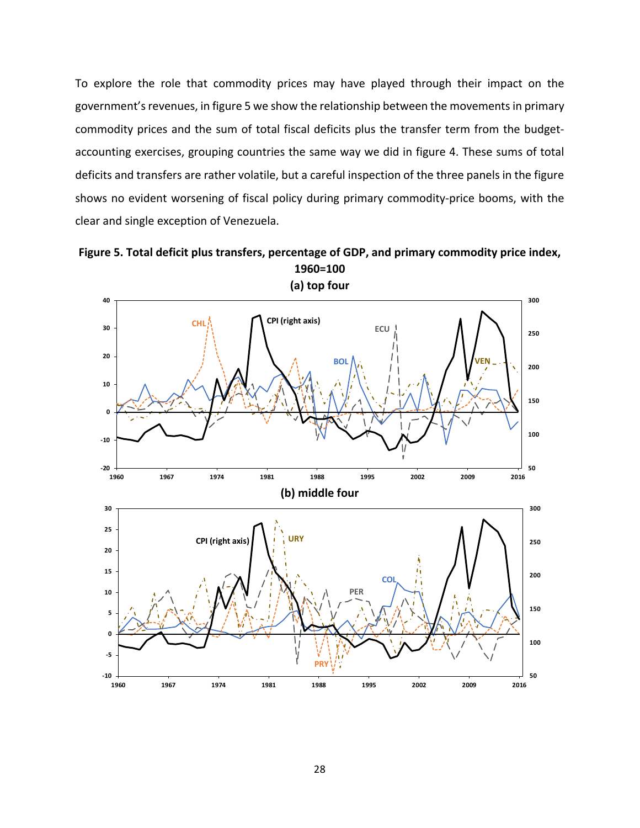To explore the role that commodity prices may have played through their impact on the government's revenues, in figure 5 we show the relationship between the movements in primary commodity prices and the sum of total fiscal deficits plus the transfer term from the budget‐ accounting exercises, grouping countries the same way we did in figure 4. These sums of total deficits and transfers are rather volatile, but a careful inspection of the three panels in the figure shows no evident worsening of fiscal policy during primary commodity‐price booms, with the clear and single exception of Venezuela.



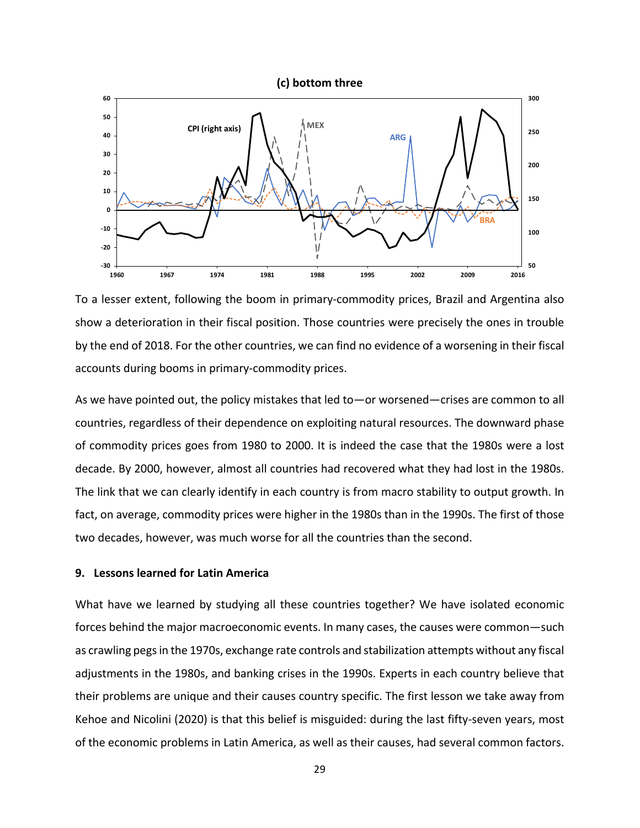

To a lesser extent, following the boom in primary‐commodity prices, Brazil and Argentina also show a deterioration in their fiscal position. Those countries were precisely the ones in trouble by the end of 2018. For the other countries, we can find no evidence of a worsening in their fiscal accounts during booms in primary‐commodity prices.

As we have pointed out, the policy mistakes that led to—or worsened—crises are common to all countries, regardless of their dependence on exploiting natural resources. The downward phase of commodity prices goes from 1980 to 2000. It is indeed the case that the 1980s were a lost decade. By 2000, however, almost all countries had recovered what they had lost in the 1980s. The link that we can clearly identify in each country is from macro stability to output growth. In fact, on average, commodity prices were higher in the 1980s than in the 1990s. The first of those two decades, however, was much worse for all the countries than the second.

#### **9. Lessons learned for Latin America**

What have we learned by studying all these countries together? We have isolated economic forces behind the major macroeconomic events. In many cases, the causes were common—such as crawling pegs in the 1970s, exchange rate controls and stabilization attempts without any fiscal adjustments in the 1980s, and banking crises in the 1990s. Experts in each country believe that their problems are unique and their causes country specific. The first lesson we take away from Kehoe and Nicolini (2020) is that this belief is misguided: during the last fifty-seven years, most of the economic problems in Latin America, as well as their causes, had several common factors.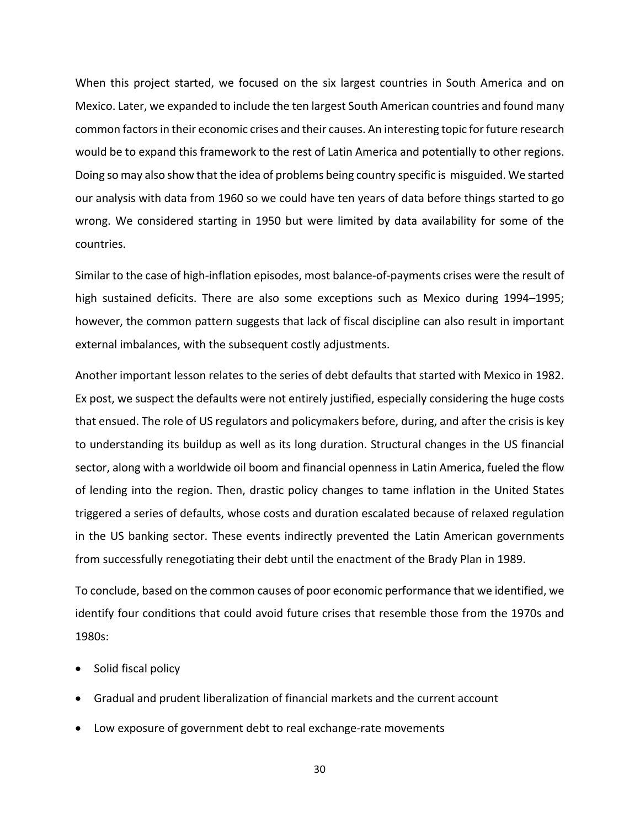When this project started, we focused on the six largest countries in South America and on Mexico. Later, we expanded to include the ten largest South American countries and found many common factors in their economic crises and their causes. An interesting topic for future research would be to expand this framework to the rest of Latin America and potentially to other regions. Doing so may also show that the idea of problems being country specific is misguided. We started our analysis with data from 1960 so we could have ten years of data before things started to go wrong. We considered starting in 1950 but were limited by data availability for some of the countries.

Similar to the case of high‐inflation episodes, most balance‐of‐payments crises were the result of high sustained deficits. There are also some exceptions such as Mexico during 1994–1995; however, the common pattern suggests that lack of fiscal discipline can also result in important external imbalances, with the subsequent costly adjustments.

Another important lesson relates to the series of debt defaults that started with Mexico in 1982. Ex post, we suspect the defaults were not entirely justified, especially considering the huge costs that ensued. The role of US regulators and policymakers before, during, and after the crisis is key to understanding its buildup as well as its long duration. Structural changes in the US financial sector, along with a worldwide oil boom and financial openness in Latin America, fueled the flow of lending into the region. Then, drastic policy changes to tame inflation in the United States triggered a series of defaults, whose costs and duration escalated because of relaxed regulation in the US banking sector. These events indirectly prevented the Latin American governments from successfully renegotiating their debt until the enactment of the Brady Plan in 1989.

To conclude, based on the common causes of poor economic performance that we identified, we identify four conditions that could avoid future crises that resemble those from the 1970s and 1980s:

- Solid fiscal policy
- Gradual and prudent liberalization of financial markets and the current account
- Low exposure of government debt to real exchange‐rate movements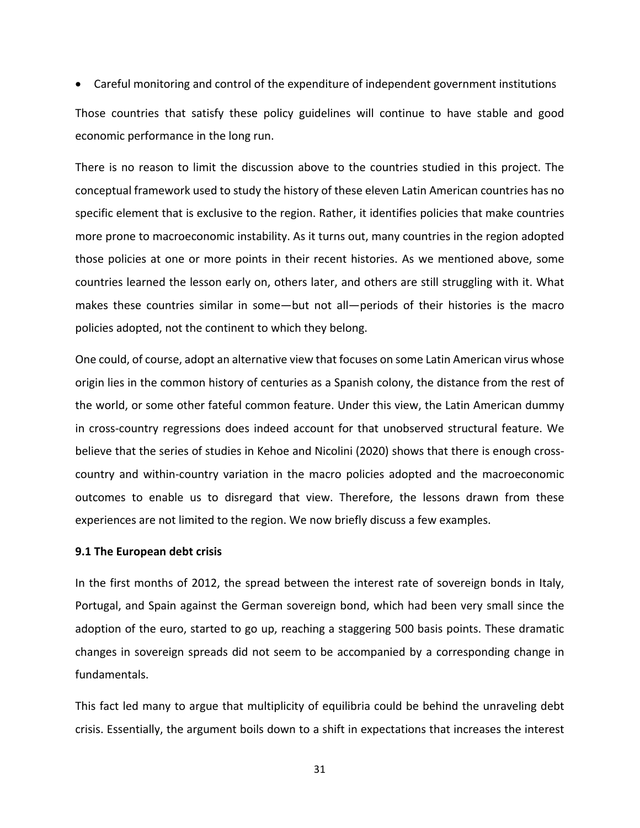Careful monitoring and control of the expenditure of independent government institutions Those countries that satisfy these policy guidelines will continue to have stable and good economic performance in the long run.

There is no reason to limit the discussion above to the countries studied in this project. The conceptual framework used to study the history of these eleven Latin American countries has no specific element that is exclusive to the region. Rather, it identifies policies that make countries more prone to macroeconomic instability. As it turns out, many countries in the region adopted those policies at one or more points in their recent histories. As we mentioned above, some countries learned the lesson early on, others later, and others are still struggling with it. What makes these countries similar in some-but not all-periods of their histories is the macro policies adopted, not the continent to which they belong.

One could, of course, adopt an alternative view that focuses on some Latin American virus whose origin lies in the common history of centuries as a Spanish colony, the distance from the rest of the world, or some other fateful common feature. Under this view, the Latin American dummy in cross-country regressions does indeed account for that unobserved structural feature. We believe that the series of studies in Kehoe and Nicolini (2020) shows that there is enough cross‐ country and within‐country variation in the macro policies adopted and the macroeconomic outcomes to enable us to disregard that view. Therefore, the lessons drawn from these experiences are not limited to the region. We now briefly discuss a few examples.

#### **9.1 The European debt crisis**

In the first months of 2012, the spread between the interest rate of sovereign bonds in Italy, Portugal, and Spain against the German sovereign bond, which had been very small since the adoption of the euro, started to go up, reaching a staggering 500 basis points. These dramatic changes in sovereign spreads did not seem to be accompanied by a corresponding change in fundamentals.

This fact led many to argue that multiplicity of equilibria could be behind the unraveling debt crisis. Essentially, the argument boils down to a shift in expectations that increases the interest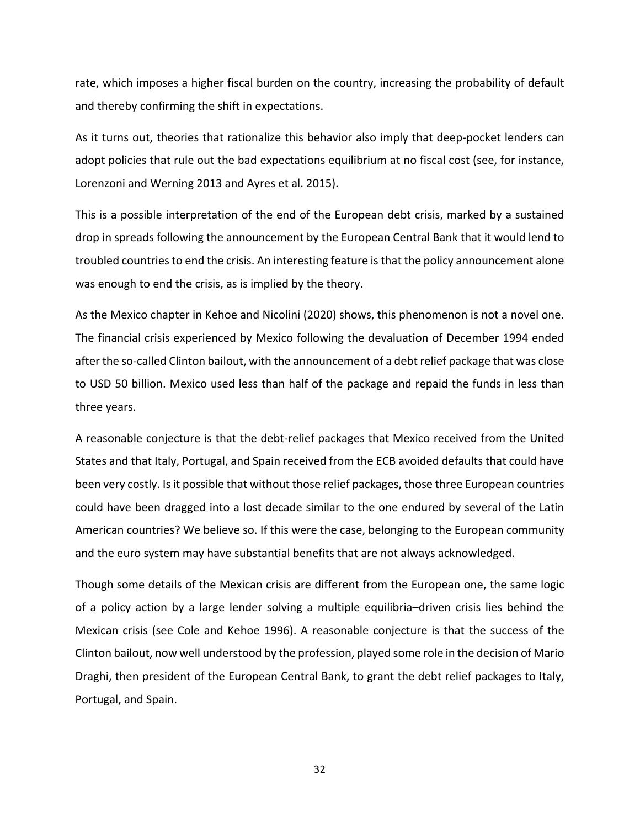rate, which imposes a higher fiscal burden on the country, increasing the probability of default and thereby confirming the shift in expectations.

As it turns out, theories that rationalize this behavior also imply that deep-pocket lenders can adopt policies that rule out the bad expectations equilibrium at no fiscal cost (see, for instance, Lorenzoni and Werning 2013 and Ayres et al. 2015).

This is a possible interpretation of the end of the European debt crisis, marked by a sustained drop in spreads following the announcement by the European Central Bank that it would lend to troubled countries to end the crisis. An interesting feature is that the policy announcement alone was enough to end the crisis, as is implied by the theory.

As the Mexico chapter in Kehoe and Nicolini (2020) shows, this phenomenon is not a novel one. The financial crisis experienced by Mexico following the devaluation of December 1994 ended after the so-called Clinton bailout, with the announcement of a debt relief package that was close to USD 50 billion. Mexico used less than half of the package and repaid the funds in less than three years.

A reasonable conjecture is that the debt-relief packages that Mexico received from the United States and that Italy, Portugal, and Spain received from the ECB avoided defaults that could have been very costly. Is it possible that without those relief packages, those three European countries could have been dragged into a lost decade similar to the one endured by several of the Latin American countries? We believe so. If this were the case, belonging to the European community and the euro system may have substantial benefits that are not always acknowledged.

Though some details of the Mexican crisis are different from the European one, the same logic of a policy action by a large lender solving a multiple equilibria–driven crisis lies behind the Mexican crisis (see Cole and Kehoe 1996). A reasonable conjecture is that the success of the Clinton bailout, now well understood by the profession, played some role in the decision of Mario Draghi, then president of the European Central Bank, to grant the debt relief packages to Italy, Portugal, and Spain.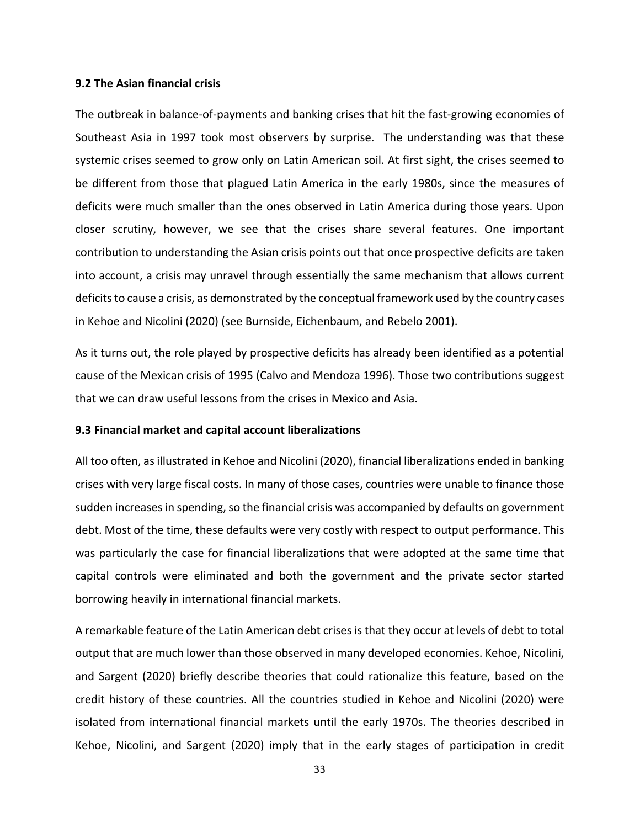#### **9.2 The Asian financial crisis**

The outbreak in balance-of-payments and banking crises that hit the fast-growing economies of Southeast Asia in 1997 took most observers by surprise. The understanding was that these systemic crises seemed to grow only on Latin American soil. At first sight, the crises seemed to be different from those that plagued Latin America in the early 1980s, since the measures of deficits were much smaller than the ones observed in Latin America during those years. Upon closer scrutiny, however, we see that the crises share several features. One important contribution to understanding the Asian crisis points out that once prospective deficits are taken into account, a crisis may unravel through essentially the same mechanism that allows current deficits to cause a crisis, as demonstrated by the conceptual framework used by the country cases in Kehoe and Nicolini (2020) (see Burnside, Eichenbaum, and Rebelo 2001).

As it turns out, the role played by prospective deficits has already been identified as a potential cause of the Mexican crisis of 1995 (Calvo and Mendoza 1996). Those two contributions suggest that we can draw useful lessons from the crises in Mexico and Asia.

#### **9.3 Financial market and capital account liberalizations**

All too often, as illustrated in Kehoe and Nicolini (2020), financial liberalizations ended in banking crises with very large fiscal costs. In many of those cases, countries were unable to finance those sudden increases in spending, so the financial crisis was accompanied by defaults on government debt. Most of the time, these defaults were very costly with respect to output performance. This was particularly the case for financial liberalizations that were adopted at the same time that capital controls were eliminated and both the government and the private sector started borrowing heavily in international financial markets.

A remarkable feature of the Latin American debt crises is that they occur at levels of debt to total output that are much lower than those observed in many developed economies. Kehoe, Nicolini, and Sargent (2020) briefly describe theories that could rationalize this feature, based on the credit history of these countries. All the countries studied in Kehoe and Nicolini (2020) were isolated from international financial markets until the early 1970s. The theories described in Kehoe, Nicolini, and Sargent (2020) imply that in the early stages of participation in credit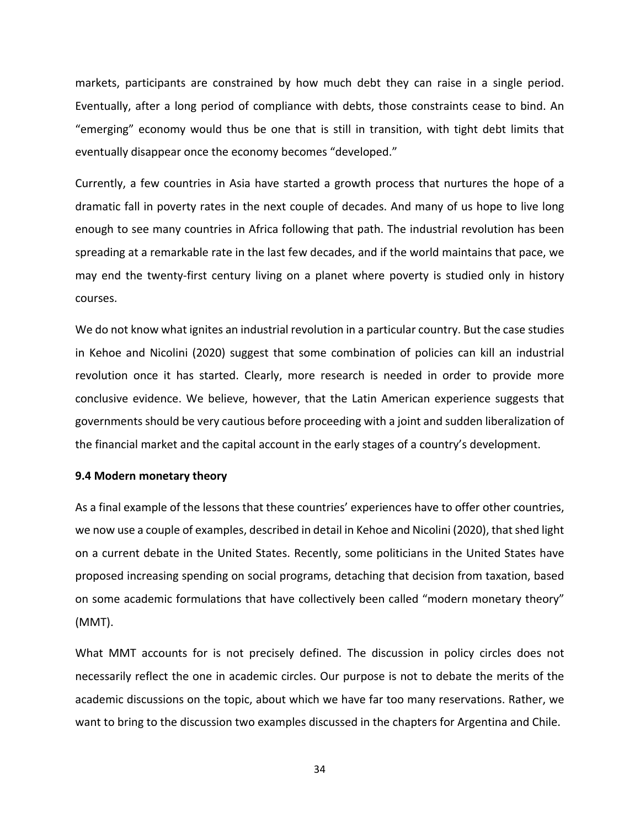markets, participants are constrained by how much debt they can raise in a single period. Eventually, after a long period of compliance with debts, those constraints cease to bind. An "emerging" economy would thus be one that is still in transition, with tight debt limits that eventually disappear once the economy becomes "developed."

Currently, a few countries in Asia have started a growth process that nurtures the hope of a dramatic fall in poverty rates in the next couple of decades. And many of us hope to live long enough to see many countries in Africa following that path. The industrial revolution has been spreading at a remarkable rate in the last few decades, and if the world maintains that pace, we may end the twenty-first century living on a planet where poverty is studied only in history courses.

We do not know what ignites an industrial revolution in a particular country. But the case studies in Kehoe and Nicolini (2020) suggest that some combination of policies can kill an industrial revolution once it has started. Clearly, more research is needed in order to provide more conclusive evidence. We believe, however, that the Latin American experience suggests that governments should be very cautious before proceeding with a joint and sudden liberalization of the financial market and the capital account in the early stages of a country's development.

#### **9.4 Modern monetary theory**

As a final example of the lessons that these countries' experiences have to offer other countries, we now use a couple of examples, described in detail in Kehoe and Nicolini (2020), that shed light on a current debate in the United States. Recently, some politicians in the United States have proposed increasing spending on social programs, detaching that decision from taxation, based on some academic formulations that have collectively been called "modern monetary theory" (MMT).

What MMT accounts for is not precisely defined. The discussion in policy circles does not necessarily reflect the one in academic circles. Our purpose is not to debate the merits of the academic discussions on the topic, about which we have far too many reservations. Rather, we want to bring to the discussion two examples discussed in the chapters for Argentina and Chile.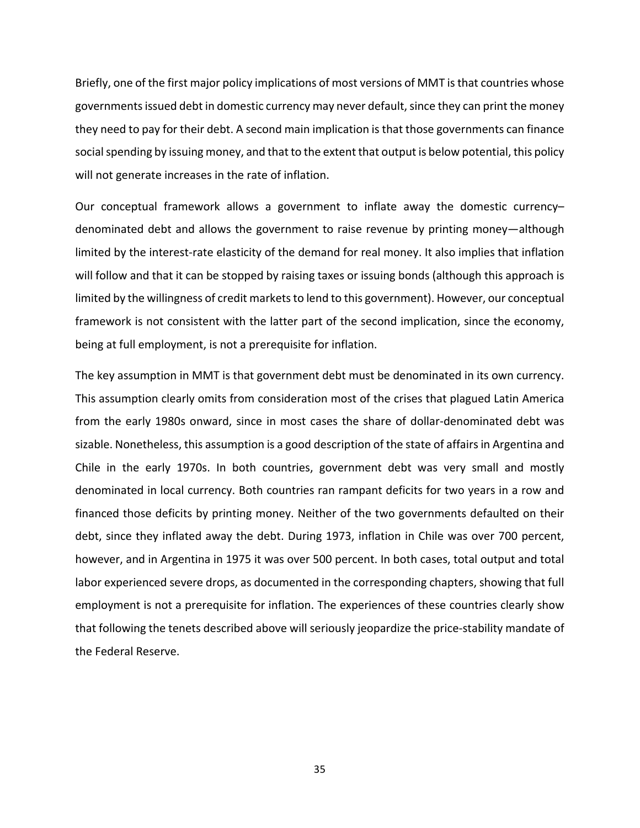Briefly, one of the first major policy implications of most versions of MMT is that countries whose governments issued debt in domestic currency may never default, since they can print the money they need to pay for their debt. A second main implication is that those governments can finance social spending by issuing money, and that to the extent that output is below potential, this policy will not generate increases in the rate of inflation.

Our conceptual framework allows a government to inflate away the domestic currency– denominated debt and allows the government to raise revenue by printing money—although limited by the interest-rate elasticity of the demand for real money. It also implies that inflation will follow and that it can be stopped by raising taxes or issuing bonds (although this approach is limited by the willingness of credit markets to lend to this government). However, our conceptual framework is not consistent with the latter part of the second implication, since the economy, being at full employment, is not a prerequisite for inflation.

The key assumption in MMT is that government debt must be denominated in its own currency. This assumption clearly omits from consideration most of the crises that plagued Latin America from the early 1980s onward, since in most cases the share of dollar-denominated debt was sizable. Nonetheless, this assumption is a good description of the state of affairs in Argentina and Chile in the early 1970s. In both countries, government debt was very small and mostly denominated in local currency. Both countries ran rampant deficits for two years in a row and financed those deficits by printing money. Neither of the two governments defaulted on their debt, since they inflated away the debt. During 1973, inflation in Chile was over 700 percent, however, and in Argentina in 1975 it was over 500 percent. In both cases, total output and total labor experienced severe drops, as documented in the corresponding chapters, showing that full employment is not a prerequisite for inflation. The experiences of these countries clearly show that following the tenets described above will seriously jeopardize the price‐stability mandate of the Federal Reserve.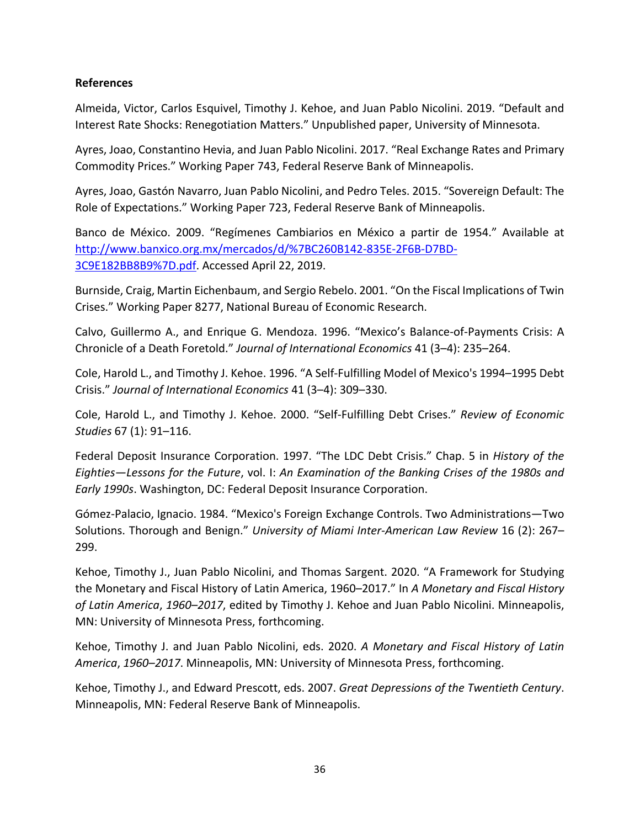### **References**

Almeida, Victor, Carlos Esquivel, Timothy J. Kehoe, and Juan Pablo Nicolini. 2019. "Default and Interest Rate Shocks: Renegotiation Matters." Unpublished paper, University of Minnesota.

Ayres, Joao, Constantino Hevia, and Juan Pablo Nicolini. 2017. "Real Exchange Rates and Primary Commodity Prices." Working Paper 743, Federal Reserve Bank of Minneapolis.

Ayres, Joao, Gastón Navarro, Juan Pablo Nicolini, and Pedro Teles. 2015. "Sovereign Default: The Role of Expectations." Working Paper 723, Federal Reserve Bank of Minneapolis.

Banco de México. 2009. "Regímenes Cambiarios en México a partir de 1954." Available at http://www.banxico.org.mx/mercados/d/%7BC260B142‐835E‐2F6B‐D7BD‐ 3C9E182BB8B9%7D.pdf. Accessed April 22, 2019.

Burnside, Craig, Martin Eichenbaum, and Sergio Rebelo. 2001. "On the Fiscal Implications of Twin Crises." Working Paper 8277, National Bureau of Economic Research.

Calvo, Guillermo A., and Enrique G. Mendoza. 1996. "Mexico's Balance‐of‐Payments Crisis: A Chronicle of a Death Foretold." *Journal of International Economics* 41 (3–4): 235–264.

Cole, Harold L., and Timothy J. Kehoe. 1996. "A Self‐Fulfilling Model of Mexico's 1994–1995 Debt Crisis." *Journal of International Economics* 41 (3–4): 309–330.

Cole, Harold L., and Timothy J. Kehoe. 2000. "Self‐Fulfilling Debt Crises." *Review of Economic Studies* 67 (1): 91–116.

Federal Deposit Insurance Corporation. 1997. "The LDC Debt Crisis." Chap. 5 in *History of the Eighties—Lessons for the Future*, vol. I: *An Examination of the Banking Crises of the 1980s and Early 1990s*. Washington, DC: Federal Deposit Insurance Corporation.

Gómez‐Palacio, Ignacio. 1984. "Mexico's Foreign Exchange Controls. Two Administrations—Two Solutions. Thorough and Benign." *University of Miami Inter‐American Law Review* 16 (2): 267– 299.

Kehoe, Timothy J., Juan Pablo Nicolini, and Thomas Sargent. 2020. "A Framework for Studying the Monetary and Fiscal History of Latin America, 1960–2017." In *A Monetary and Fiscal History of Latin America*, *1960–2017*, edited by Timothy J. Kehoe and Juan Pablo Nicolini. Minneapolis, MN: University of Minnesota Press, forthcoming.

Kehoe, Timothy J. and Juan Pablo Nicolini, eds. 2020. *A Monetary and Fiscal History of Latin America*, *1960–2017*. Minneapolis, MN: University of Minnesota Press, forthcoming.

Kehoe, Timothy J., and Edward Prescott, eds. 2007. *Great Depressions of the Twentieth Century*. Minneapolis, MN: Federal Reserve Bank of Minneapolis.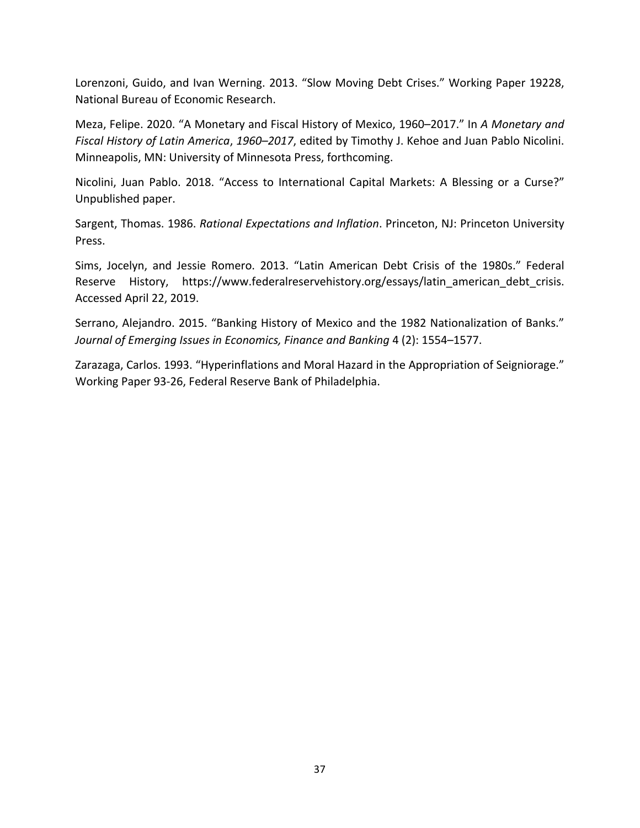Lorenzoni, Guido, and Ivan Werning. 2013. "Slow Moving Debt Crises." Working Paper 19228, National Bureau of Economic Research.

Meza, Felipe. 2020. "A Monetary and Fiscal History of Mexico, 1960–2017." In *A Monetary and Fiscal History of Latin America*, *1960–2017*, edited by Timothy J. Kehoe and Juan Pablo Nicolini. Minneapolis, MN: University of Minnesota Press, forthcoming.

Nicolini, Juan Pablo. 2018. "Access to International Capital Markets: A Blessing or a Curse?" Unpublished paper.

Sargent, Thomas. 1986. *Rational Expectations and Inflation*. Princeton, NJ: Princeton University Press.

Sims, Jocelyn, and Jessie Romero. 2013. "Latin American Debt Crisis of the 1980s." Federal Reserve History, https://www.federalreservehistory.org/essays/latin american debt crisis. Accessed April 22, 2019.

Serrano, Alejandro. 2015. "Banking History of Mexico and the 1982 Nationalization of Banks." *Journal of Emerging Issues in Economics, Finance and Banking* 4 (2): 1554–1577.

Zarazaga, Carlos. 1993. "Hyperinflations and Moral Hazard in the Appropriation of Seigniorage." Working Paper 93‐26, Federal Reserve Bank of Philadelphia.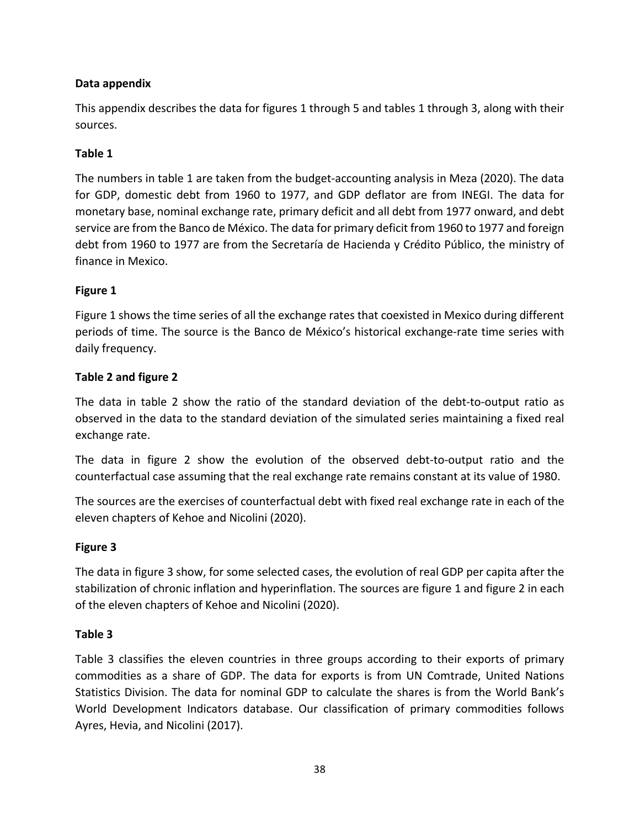## **Data appendix**

This appendix describes the data for figures 1 through 5 and tables 1 through 3, along with their sources.

## **Table 1**

The numbers in table 1 are taken from the budget‐accounting analysis in Meza (2020). The data for GDP, domestic debt from 1960 to 1977, and GDP deflator are from INEGI. The data for monetary base, nominal exchange rate, primary deficit and all debt from 1977 onward, and debt service are from the Banco de México. The data for primary deficit from 1960 to 1977 and foreign debt from 1960 to 1977 are from the Secretaría de Hacienda y Crédito Público, the ministry of finance in Mexico.

## **Figure 1**

Figure 1 shows the time series of all the exchange rates that coexisted in Mexico during different periods of time. The source is the Banco de México's historical exchange-rate time series with daily frequency.

## **Table 2 and figure 2**

The data in table 2 show the ratio of the standard deviation of the debt-to-output ratio as observed in the data to the standard deviation of the simulated series maintaining a fixed real exchange rate.

The data in figure 2 show the evolution of the observed debt-to-output ratio and the counterfactual case assuming that the real exchange rate remains constant at its value of 1980.

The sources are the exercises of counterfactual debt with fixed real exchange rate in each of the eleven chapters of Kehoe and Nicolini (2020).

## **Figure 3**

The data in figure 3 show, for some selected cases, the evolution of real GDP per capita after the stabilization of chronic inflation and hyperinflation. The sources are figure 1 and figure 2 in each of the eleven chapters of Kehoe and Nicolini (2020).

## **Table 3**

Table 3 classifies the eleven countries in three groups according to their exports of primary commodities as a share of GDP. The data for exports is from UN Comtrade, United Nations Statistics Division. The data for nominal GDP to calculate the shares is from the World Bank's World Development Indicators database. Our classification of primary commodities follows Ayres, Hevia, and Nicolini (2017).